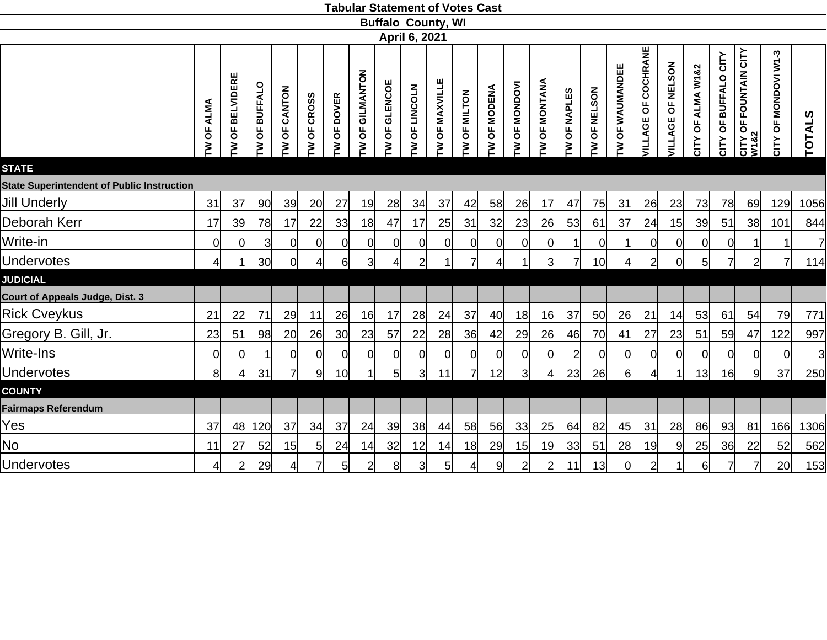|                                                   |                       |                            |                 |                  |                |               |                     |                          |                 | <b>Buffalo County, WI</b> |                |                |                                       |                 |                |                 |                   |                        |                                            |                      |                         |                               |                      |                |
|---------------------------------------------------|-----------------------|----------------------------|-----------------|------------------|----------------|---------------|---------------------|--------------------------|-----------------|---------------------------|----------------|----------------|---------------------------------------|-----------------|----------------|-----------------|-------------------|------------------------|--------------------------------------------|----------------------|-------------------------|-------------------------------|----------------------|----------------|
|                                                   |                       |                            |                 |                  |                |               |                     | April 6, 2021            |                 |                           |                |                |                                       |                 |                |                 |                   |                        |                                            |                      |                         |                               |                      |                |
|                                                   | <b>ALMA</b><br>Ъ<br>ξ | <b>BELVIDERE</b><br>ხ<br>ξ | OF BUFFALO<br>ξ | CANTON<br>ზ<br>ξ | OF CROSS<br>ξ  | OF DOVER<br>₹ | GILMANTON<br>ზ<br>ξ | <b>GLENCOE</b><br>Ъ<br>ξ | OF LINCOLN<br>ξ | OF MAXVILLE<br>ξ          | OF MILTON<br>ξ | OF MODENA<br>ξ | <b>MONDOVI</b><br>$\overline{5}$<br>ξ | OF MONTANA<br>≧ | OF NAPLES<br>ξ | OF NELSON<br>ξ  | OF WAUMANDEE<br>ξ | COCHRANE<br>VILLAGE OF | <b>NELSON</b><br>$\overline{5}$<br>VILLAGE | OF ALMA W1&2<br>CITY | OF BUFFALO CITY<br>CITY | CITY OF FOUNTAIN CITY<br>W1&2 | CITY OF MONDOVI W1-3 | <b>TOTALS</b>  |
| <b>STATE</b>                                      |                       |                            |                 |                  |                |               |                     |                          |                 |                           |                |                |                                       |                 |                |                 |                   |                        |                                            |                      |                         |                               |                      |                |
| <b>State Superintendent of Public Instruction</b> |                       |                            |                 |                  |                |               |                     |                          |                 |                           |                |                |                                       |                 |                |                 |                   |                        |                                            |                      |                         |                               |                      |                |
| <b>Jill Underly</b>                               | 31                    | 37                         | 90              | 39               | 20             | 27            | 19                  | 28                       | 34              | 37                        | 42             | 58             | 26                                    | 17              | 47             | 75              | 31                | 26                     | 23                                         | 73                   | 78                      | 69                            | 129                  | 1056           |
| Deborah Kerr                                      | 17                    | 39                         | 78              | 17               | 22             | 33            | 18                  | 47                       | 17              | 25                        | 31             | 32             | 23                                    | 26              | 53             | 61              | 37                | 24                     | 15                                         | 39                   | 51                      | 38                            | 101                  | 844            |
| Write-in                                          | 0                     | 0                          | $\overline{3}$  | $\overline{0}$   | $\overline{0}$ | 0             | <sup>o</sup>        | $\overline{0}$           | $\overline{0}$  | <sup>o</sup>              | $\overline{0}$ | $\overline{0}$ | <sup>o</sup>                          | $\overline{0}$  | 11             | $\overline{0}$  |                   | 이                      | $\overline{0}$                             | $\overline{0}$       | $\overline{0}$          |                               | 1                    | $\overline{7}$ |
| <b>Undervotes</b>                                 | 4 <sup>1</sup>        | 1                          | 30              | $\Omega$         | $\frac{4}{ }$  | 61            | $\overline{3}$      | $\overline{4}$           | $\overline{2}$  |                           | $\overline{7}$ | 4              |                                       | $\overline{3}$  | 71             | 10 <sup>1</sup> | Δ                 | $\overline{2}$         | <sup>o</sup>                               | 5 <sub>l</sub>       | 71                      | $\overline{2}$                | 71                   | 114            |
| <b>JUDICIAL</b>                                   |                       |                            |                 |                  |                |               |                     |                          |                 |                           |                |                |                                       |                 |                |                 |                   |                        |                                            |                      |                         |                               |                      |                |
| <b>Court of Appeals Judge, Dist. 3</b>            |                       |                            |                 |                  |                |               |                     |                          |                 |                           |                |                |                                       |                 |                |                 |                   |                        |                                            |                      |                         |                               |                      |                |
| <b>Rick Cveykus</b>                               | 21                    | 22                         | 71              | 29               | 11             | 26            | 16                  | 17                       | 28              | 24                        | 37             | 40             | 18                                    | 16              | 37             | 50              | 26                | 21                     | 14                                         | 53                   | 61                      | 54                            | 79                   | 771            |
| Gregory B. Gill, Jr.                              | 23                    | 51                         | 98              | 20               | 26             | 30            | 23                  | 57                       | 22              | 28                        | 36             | 42             | 29                                    | 26              | 46             | 70              | 41                | 27                     | 23                                         | 51                   | 59                      | 47                            | 122                  | 997            |
| Write-Ins                                         | $\overline{0}$        | 0                          |                 | 0l               | $\overline{0}$ | 0             | -Ol                 | $\overline{0}$           | 0               | <sup>0</sup>              | $\overline{0}$ | <sub>0</sub>   | 0l                                    | $\overline{0}$  | $\overline{2}$ | <sup>O</sup>    | $\Omega$          | <sub>0</sub>           | <sub>0</sub>                               | <sup>0</sup>         | 0l                      | <sup>Ol</sup>                 | 0l                   | $\mathbf{3}$   |
| <b>Undervotes</b>                                 | 8                     | 4                          | 31              |                  | 9              | 10            |                     | 5 <sub>l</sub>           | 31              | 11                        |                | 12             | 31                                    | 4               | 23             | 26              | $6 \mid$          | 4 <sup>1</sup>         |                                            | 13                   | 16                      | 9                             | 37                   | 250            |
| <b>COUNTY</b>                                     |                       |                            |                 |                  |                |               |                     |                          |                 |                           |                |                |                                       |                 |                |                 |                   |                        |                                            |                      |                         |                               |                      |                |
| <b>Fairmaps Referendum</b>                        |                       |                            |                 |                  |                |               |                     |                          |                 |                           |                |                |                                       |                 |                |                 |                   |                        |                                            |                      |                         |                               |                      |                |
| Yes                                               | 37                    | 48                         | 120             | 37               | 34             | 37            | 24                  | 39                       | 38              | 44                        | 58             | 56             | 33                                    | 25              | 64             | 82              | 45                | 31                     | 28                                         | 86                   | 93                      | 81                            | 166                  | 1306           |
| No                                                | 11                    | 27                         | 52              | 15               | 5 <sub>l</sub> | 24            | 14                  | 32                       | 12              | 14                        | 18             | 29             | 15                                    | 19              | 33             | 51              | 28                | 19                     | 9                                          | 25                   | 36                      | 22                            | 52                   | 562            |
| <b>Undervotes</b>                                 | 41                    | $\overline{2}$             | 29              | 41               | $\overline{7}$ | $5 \mid$      | $\overline{2}$      | 8                        | 3               | 5 <sup>1</sup>            | $\overline{4}$ | 9              | $\overline{2}$                        | $\overline{2}$  | 11             | 13              | $\overline{O}$    | $\mathbf{2}$           |                                            | $6 \mid$             | 7                       | $\overline{7}$                | 20                   | 153            |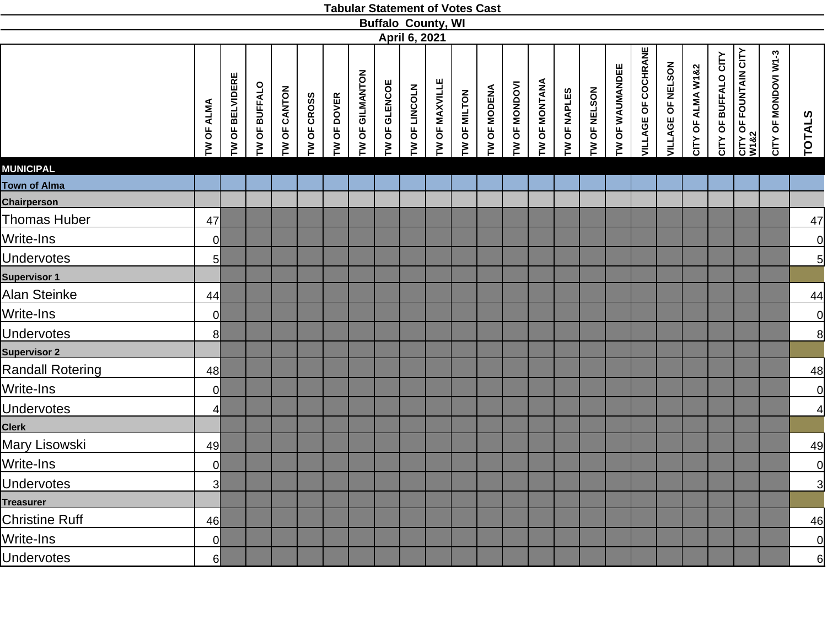|  | <b>Tabular Statement of Votes Cast</b> |  |  |  |
|--|----------------------------------------|--|--|--|
|--|----------------------------------------|--|--|--|

|                         |                         |                 |               |              |             |             |                 |               |               | <b>Buffalo County, WI</b> |              |              |                 |               |              |              |                 |                            |                   |                   |                      |                               |                      |                |
|-------------------------|-------------------------|-----------------|---------------|--------------|-------------|-------------|-----------------|---------------|---------------|---------------------------|--------------|--------------|-----------------|---------------|--------------|--------------|-----------------|----------------------------|-------------------|-------------------|----------------------|-------------------------------|----------------------|----------------|
|                         |                         |                 |               |              |             |             |                 |               | April 6, 2021 |                           |              |              |                 |               |              |              |                 |                            |                   |                   |                      |                               |                      |                |
|                         | TW OF ALMA              | TW OF BELVIDERE | TW OF BUFFALO | TW OF CANTON | TW OF CROSS | TW OF DOVER | TW OF GILMANTON | TW OF GLENCOE | TW OF LINCOLN | TW OF MAXVILLE            | TW OF MILTON | TW OF MODENA | OF MONDOVI<br>M | TW OF MONTANA | TW OF NAPLES | TW OF NELSON | TW OF WAUMANDEE | <b>VILLAGE OF COCHRANE</b> | VILLAGE OF NELSON | CITY OF ALMA W1&2 | CITY OF BUFFALO CITY | CITY OF FOUNTAIN CITY<br>W1&2 | CITY OF MONDOVI W1-3 | <b>TOTALS</b>  |
| <b>MUNICIPAL</b>        |                         |                 |               |              |             |             |                 |               |               |                           |              |              |                 |               |              |              |                 |                            |                   |                   |                      |                               |                      |                |
| Town of Alma            |                         |                 |               |              |             |             |                 |               |               |                           |              |              |                 |               |              |              |                 |                            |                   |                   |                      |                               |                      |                |
| <b>Chairperson</b>      |                         |                 |               |              |             |             |                 |               |               |                           |              |              |                 |               |              |              |                 |                            |                   |                   |                      |                               |                      |                |
| <b>Thomas Huber</b>     | 47                      |                 |               |              |             |             |                 |               |               |                           |              |              |                 |               |              |              |                 |                            |                   |                   |                      |                               |                      | 47             |
| Write-Ins               | <sub>0</sub>            |                 |               |              |             |             |                 |               |               |                           |              |              |                 |               |              |              |                 |                            |                   |                   |                      |                               |                      | $\overline{0}$ |
| <b>Undervotes</b>       | $5 \mid$                |                 |               |              |             |             |                 |               |               |                           |              |              |                 |               |              |              |                 |                            |                   |                   |                      |                               |                      | $\overline{5}$ |
| <b>Supervisor 1</b>     |                         |                 |               |              |             |             |                 |               |               |                           |              |              |                 |               |              |              |                 |                            |                   |                   |                      |                               |                      |                |
| Alan Steinke            | 44                      |                 |               |              |             |             |                 |               |               |                           |              |              |                 |               |              |              |                 |                            |                   |                   |                      |                               |                      | 44             |
| Write-Ins               | $\overline{0}$          |                 |               |              |             |             |                 |               |               |                           |              |              |                 |               |              |              |                 |                            |                   |                   |                      |                               |                      | $\overline{0}$ |
| <b>Undervotes</b>       | 8 <sup>1</sup>          |                 |               |              |             |             |                 |               |               |                           |              |              |                 |               |              |              |                 |                            |                   |                   |                      |                               |                      | 8              |
| <b>Supervisor 2</b>     |                         |                 |               |              |             |             |                 |               |               |                           |              |              |                 |               |              |              |                 |                            |                   |                   |                      |                               |                      |                |
| <b>Randall Rotering</b> | 48                      |                 |               |              |             |             |                 |               |               |                           |              |              |                 |               |              |              |                 |                            |                   |                   |                      |                               |                      | 48             |
| Write-Ins               | $\overline{0}$          |                 |               |              |             |             |                 |               |               |                           |              |              |                 |               |              |              |                 |                            |                   |                   |                      |                               |                      | $\overline{0}$ |
| <b>Undervotes</b>       | $\overline{4}$          |                 |               |              |             |             |                 |               |               |                           |              |              |                 |               |              |              |                 |                            |                   |                   |                      |                               |                      | $\overline{a}$ |
| <b>Clerk</b>            |                         |                 |               |              |             |             |                 |               |               |                           |              |              |                 |               |              |              |                 |                            |                   |                   |                      |                               |                      |                |
| <b>Mary Lisowski</b>    | 49                      |                 |               |              |             |             |                 |               |               |                           |              |              |                 |               |              |              |                 |                            |                   |                   |                      |                               |                      | 49             |
| Write-Ins               | 0                       |                 |               |              |             |             |                 |               |               |                           |              |              |                 |               |              |              |                 |                            |                   |                   |                      |                               |                      | $\overline{0}$ |
| <b>Undervotes</b>       | $\overline{\mathsf{3}}$ |                 |               |              |             |             |                 |               |               |                           |              |              |                 |               |              |              |                 |                            |                   |                   |                      |                               |                      | $\overline{3}$ |
| <b>Treasurer</b>        |                         |                 |               |              |             |             |                 |               |               |                           |              |              |                 |               |              |              |                 |                            |                   |                   |                      |                               |                      |                |
| <b>Christine Ruff</b>   | 46                      |                 |               |              |             |             |                 |               |               |                           |              |              |                 |               |              |              |                 |                            |                   |                   |                      |                               |                      | 46             |
| Write-Ins               | $\overline{0}$          |                 |               |              |             |             |                 |               |               |                           |              |              |                 |               |              |              |                 |                            |                   |                   |                      |                               |                      | $\overline{0}$ |
| <b>Undervotes</b>       | $6 \mid$                |                 |               |              |             |             |                 |               |               |                           |              |              |                 |               |              |              |                 |                            |                   |                   |                      |                               |                      | 6              |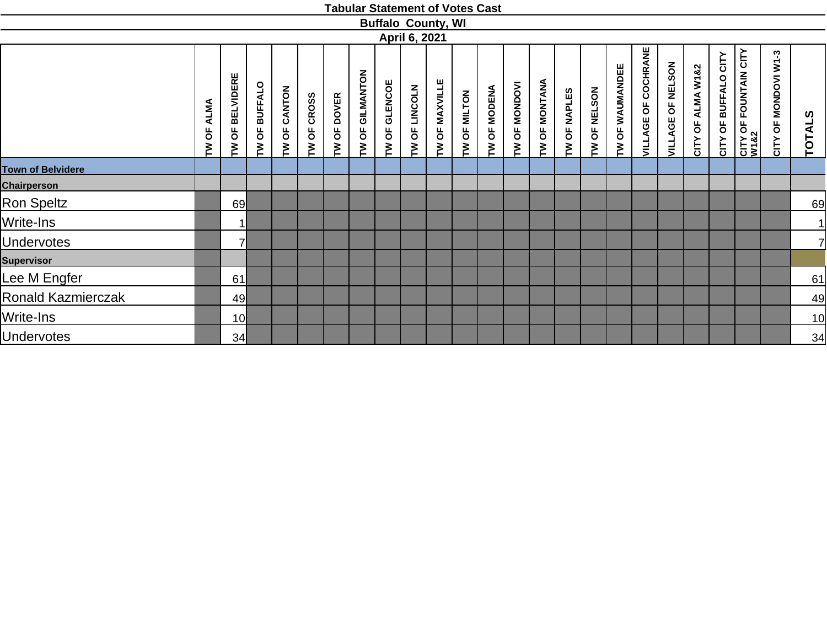|                          |                        |                            |                         |                 |                       |             |                    |                         |               | <b>Buffalo County, WI</b> |              |              |                         |               |              |                        |                 |                     |                                     |                      |                      |                               |                      |                     |
|--------------------------|------------------------|----------------------------|-------------------------|-----------------|-----------------------|-------------|--------------------|-------------------------|---------------|---------------------------|--------------|--------------|-------------------------|---------------|--------------|------------------------|-----------------|---------------------|-------------------------------------|----------------------|----------------------|-------------------------------|----------------------|---------------------|
|                          |                        |                            |                         |                 |                       |             |                    |                         | April 6, 2021 |                           |              |              |                         |               |              |                        |                 |                     |                                     |                      |                      |                               |                      |                     |
|                          | <b>ALMA</b><br>pp<br>ξ | <b>BELVIDERE</b><br>ზ<br>≧ | <b>BUFFALO</b><br>TW OF | CANTON<br>TW OF | <b>CROSS</b><br>TW OF | TW OF DOVER | GILMANTON<br>TW OF | GLENCOE<br><b>TW OF</b> | TW OF LINCOLN | <b>MAXVILLE</b><br>TW OF  | TW OF MILTON | TW OF MODENA | <b>MONDOVI</b><br>TW OF | TW OF MONTANA | TW OF NAPLES | <b>NELSON</b><br>TW OF | TW OF WAUMANDEE | VILLAGE OF COCHRANE | NELSON<br>$\overline{5}$<br>VILLAGE | OF ALMA W1&2<br>CITY | CITY OF BUFFALO CITY | CITY OF FOUNTAIN CITY<br>W1&2 | CITY OF MONDOVI W1-3 | <b>SC</b><br>TOTAL! |
| <b>Town of Belvidere</b> |                        |                            |                         |                 |                       |             |                    |                         |               |                           |              |              |                         |               |              |                        |                 |                     |                                     |                      |                      |                               |                      |                     |
| <b>Chairperson</b>       |                        |                            |                         |                 |                       |             |                    |                         |               |                           |              |              |                         |               |              |                        |                 |                     |                                     |                      |                      |                               |                      |                     |
| Ron Speltz               |                        | 69                         |                         |                 |                       |             |                    |                         |               |                           |              |              |                         |               |              |                        |                 |                     |                                     |                      |                      |                               |                      | 69                  |
| Write-Ins                |                        | -1                         |                         |                 |                       |             |                    |                         |               |                           |              |              |                         |               |              |                        |                 |                     |                                     |                      |                      |                               |                      | 1                   |
| <b>Undervotes</b>        |                        | ᆌ                          |                         |                 |                       |             |                    |                         |               |                           |              |              |                         |               |              |                        |                 |                     |                                     |                      |                      |                               |                      | $\overline{7}$      |
| <b>Supervisor</b>        |                        |                            |                         |                 |                       |             |                    |                         |               |                           |              |              |                         |               |              |                        |                 |                     |                                     |                      |                      |                               |                      |                     |
| Lee M Engfer             |                        | 61                         |                         |                 |                       |             |                    |                         |               |                           |              |              |                         |               |              |                        |                 |                     |                                     |                      |                      |                               |                      | 61                  |
| Ronald Kazmierczak       |                        | 49                         |                         |                 |                       |             |                    |                         |               |                           |              |              |                         |               |              |                        |                 |                     |                                     |                      |                      |                               |                      | 49                  |
| Write-Ins                |                        | 10 <sup>1</sup>            |                         |                 |                       |             |                    |                         |               |                           |              |              |                         |               |              |                        |                 |                     |                                     |                      |                      |                               |                      | 10                  |
| <b>Undervotes</b>        |                        | 34                         |                         |                 |                       |             |                    |                         |               |                           |              |              |                         |               |              |                        |                 |                     |                                     |                      |                      |                               |                      | $\overline{34}$     |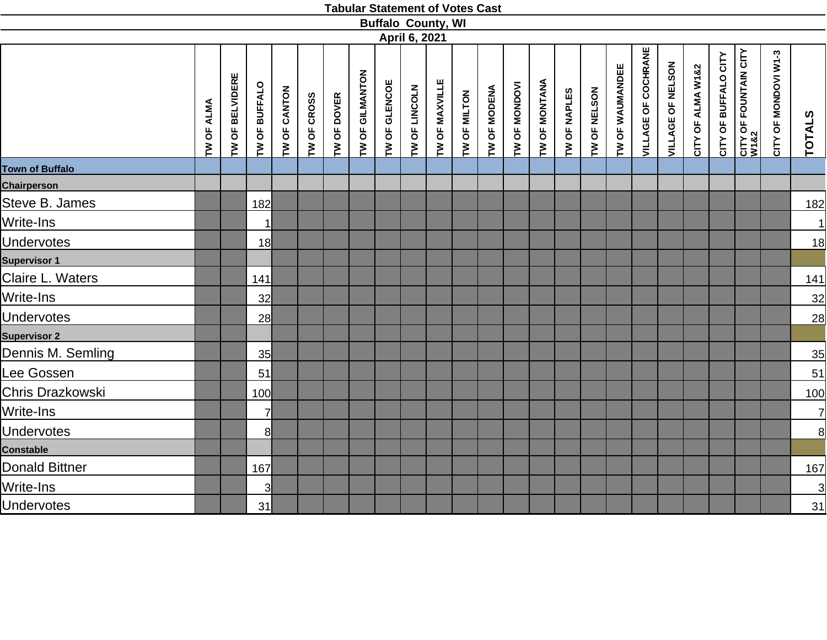|                        |                   |                 |                 |              |             |             |                 |               |               | <b>Buffalo County, WI</b> |              |              |               |               |              |              |                 |                            |                   |                   |                      |                                           |                      |                |
|------------------------|-------------------|-----------------|-----------------|--------------|-------------|-------------|-----------------|---------------|---------------|---------------------------|--------------|--------------|---------------|---------------|--------------|--------------|-----------------|----------------------------|-------------------|-------------------|----------------------|-------------------------------------------|----------------------|----------------|
|                        |                   |                 |                 |              |             |             |                 |               | April 6, 2021 |                           |              |              |               |               |              |              |                 |                            |                   |                   |                      |                                           |                      |                |
|                        | <b>TW OF ALMA</b> | TW OF BELVIDERE | TW OF BUFFALO   | TW OF CANTON | TW OF CROSS | TW OF DOVER | TW OF GILMANTON | TW OF GLENCOE | TW OF LINCOLN | TW OF MAXVILLE            | TW OF MILTON | TW OF MODENA | TW OF MONDOVI | TW OF MONTANA | TW OF NAPLES | TW OF NELSON | TW OF WAUMANDEE | <b>VILLAGE OF COCHRANE</b> | VILLAGE OF NELSON | CITY OF ALMA W1&2 | CITY OF BUFFALO CITY | <b>CITY OF FOUNTAIN CITY<br/>W1&amp;2</b> | CITY OF MONDOVI W1-3 | TOTALS         |
| <b>Town of Buffalo</b> |                   |                 |                 |              |             |             |                 |               |               |                           |              |              |               |               |              |              |                 |                            |                   |                   |                      |                                           |                      |                |
| <b>Chairperson</b>     |                   |                 |                 |              |             |             |                 |               |               |                           |              |              |               |               |              |              |                 |                            |                   |                   |                      |                                           |                      |                |
| Steve B. James         |                   |                 | 182             |              |             |             |                 |               |               |                           |              |              |               |               |              |              |                 |                            |                   |                   |                      |                                           |                      | <u>182</u>     |
| Write-Ins              |                   |                 |                 |              |             |             |                 |               |               |                           |              |              |               |               |              |              |                 |                            |                   |                   |                      |                                           |                      | 1              |
| <b>Undervotes</b>      |                   |                 | 18 <sup>l</sup> |              |             |             |                 |               |               |                           |              |              |               |               |              |              |                 |                            |                   |                   |                      |                                           |                      | 18             |
| <b>Supervisor 1</b>    |                   |                 |                 |              |             |             |                 |               |               |                           |              |              |               |               |              |              |                 |                            |                   |                   |                      |                                           |                      |                |
| Claire L. Waters       |                   |                 | 141             |              |             |             |                 |               |               |                           |              |              |               |               |              |              |                 |                            |                   |                   |                      |                                           |                      | <u>141</u>     |
| Write-Ins              |                   |                 | 32              |              |             |             |                 |               |               |                           |              |              |               |               |              |              |                 |                            |                   |                   |                      |                                           |                      | 32             |
| <b>Undervotes</b>      |                   |                 | 28              |              |             |             |                 |               |               |                           |              |              |               |               |              |              |                 |                            |                   |                   |                      |                                           |                      | 28             |
| <b>Supervisor 2</b>    |                   |                 |                 |              |             |             |                 |               |               |                           |              |              |               |               |              |              |                 |                            |                   |                   |                      |                                           |                      |                |
| Dennis M. Semling      |                   |                 | 35              |              |             |             |                 |               |               |                           |              |              |               |               |              |              |                 |                            |                   |                   |                      |                                           |                      | 35             |
| Lee Gossen             |                   |                 | 51              |              |             |             |                 |               |               |                           |              |              |               |               |              |              |                 |                            |                   |                   |                      |                                           |                      | 51             |
| Chris Drazkowski       |                   |                 | 100             |              |             |             |                 |               |               |                           |              |              |               |               |              |              |                 |                            |                   |                   |                      |                                           |                      | <u>100</u>     |
| Write-Ins              |                   |                 | $\overline{7}$  |              |             |             |                 |               |               |                           |              |              |               |               |              |              |                 |                            |                   |                   |                      |                                           |                      | $\overline{7}$ |
| <b>Undervotes</b>      |                   |                 | 8               |              |             |             |                 |               |               |                           |              |              |               |               |              |              |                 |                            |                   |                   |                      |                                           |                      | 8              |
| <b>Constable</b>       |                   |                 |                 |              |             |             |                 |               |               |                           |              |              |               |               |              |              |                 |                            |                   |                   |                      |                                           |                      |                |
| <b>Donald Bittner</b>  |                   |                 | 167             |              |             |             |                 |               |               |                           |              |              |               |               |              |              |                 |                            |                   |                   |                      |                                           |                      | 167            |
| Write-Ins              |                   |                 | $\overline{3}$  |              |             |             |                 |               |               |                           |              |              |               |               |              |              |                 |                            |                   |                   |                      |                                           |                      | $\overline{3}$ |
| <b>Undervotes</b>      |                   |                 | 31              |              |             |             |                 |               |               |                           |              |              |               |               |              |              |                 |                            |                   |                   |                      |                                           |                      | 31             |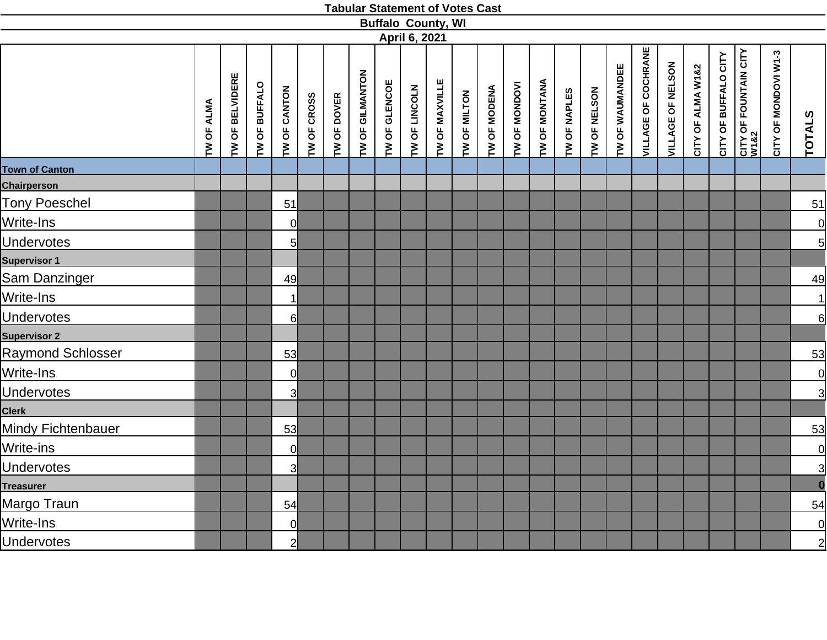|                           |            |                 |               |                         |             |             |                 |               |               | <b>Buffalo County, WI</b> |              |              |               |                      |              |              |                 |                            |                   |                   |                      |                       |                      |                     |
|---------------------------|------------|-----------------|---------------|-------------------------|-------------|-------------|-----------------|---------------|---------------|---------------------------|--------------|--------------|---------------|----------------------|--------------|--------------|-----------------|----------------------------|-------------------|-------------------|----------------------|-----------------------|----------------------|---------------------|
|                           |            |                 |               |                         |             |             |                 |               | April 6, 2021 |                           |              |              |               |                      |              |              |                 |                            |                   |                   |                      |                       |                      |                     |
|                           | TW OF ALMA | TW OF BELVIDERE | TW OF BUFFALO | TW OF CANTON            | TW OF CROSS | TW OF DOVER | TW OF GILMANTON | TW OF GLENCOE | TW OF LINCOLN | TW OF MAXVILLE            | TW OF MILTON | TW OF MODENA | TW OF MONDOVI | <b>TW OF MONTANA</b> | TW OF NAPLES | TW OF NELSON | TW OF WAUMANDEE | <b>VILLAGE OF COCHRANE</b> | VILLAGE OF NELSON | CITY OF ALMA W1&2 | CITY OF BUFFALO CITY | CITY OF FOUNTAIN CITY | CITY OF MONDOVI W1-3 | <b>TOTALS</b>       |
| <b>Town of Canton</b>     |            |                 |               |                         |             |             |                 |               |               |                           |              |              |               |                      |              |              |                 |                            |                   |                   |                      |                       |                      |                     |
| Chairperson               |            |                 |               |                         |             |             |                 |               |               |                           |              |              |               |                      |              |              |                 |                            |                   |                   |                      |                       |                      |                     |
| Tony Poeschel             |            |                 |               | 51                      |             |             |                 |               |               |                           |              |              |               |                      |              |              |                 |                            |                   |                   |                      |                       |                      | 51                  |
| Write-Ins                 |            |                 |               | $\overline{0}$          |             |             |                 |               |               |                           |              |              |               |                      |              |              |                 |                            |                   |                   |                      |                       |                      | $\overline{0}$      |
| <b>Undervotes</b>         |            |                 |               | 5                       |             |             |                 |               |               |                           |              |              |               |                      |              |              |                 |                            |                   |                   |                      |                       |                      | $\overline{5}$      |
| <b>Supervisor 1</b>       |            |                 |               |                         |             |             |                 |               |               |                           |              |              |               |                      |              |              |                 |                            |                   |                   |                      |                       |                      |                     |
| Sam Danzinger             |            |                 |               | 49                      |             |             |                 |               |               |                           |              |              |               |                      |              |              |                 |                            |                   |                   |                      |                       |                      | 49                  |
| Write-Ins                 |            |                 |               | $\vert$ 1               |             |             |                 |               |               |                           |              |              |               |                      |              |              |                 |                            |                   |                   |                      |                       |                      | $\overline{1}$      |
| <b>Undervotes</b>         |            |                 |               | $6 \mid$                |             |             |                 |               |               |                           |              |              |               |                      |              |              |                 |                            |                   |                   |                      |                       |                      | 6                   |
| <b>Supervisor 2</b>       |            |                 |               |                         |             |             |                 |               |               |                           |              |              |               |                      |              |              |                 |                            |                   |                   |                      |                       |                      |                     |
| <b>Raymond Schlosser</b>  |            |                 |               | 53                      |             |             |                 |               |               |                           |              |              |               |                      |              |              |                 |                            |                   |                   |                      |                       |                      | $\overline{53}$     |
| Write-Ins                 |            |                 |               | $\mathcal{O}$           |             |             |                 |               |               |                           |              |              |               |                      |              |              |                 |                            |                   |                   |                      |                       |                      | $\overline{0}$      |
| <b>Undervotes</b>         |            |                 |               | $\overline{\mathsf{3}}$ |             |             |                 |               |               |                           |              |              |               |                      |              |              |                 |                            |                   |                   |                      |                       |                      | $\overline{3}$      |
| <b>Clerk</b>              |            |                 |               |                         |             |             |                 |               |               |                           |              |              |               |                      |              |              |                 |                            |                   |                   |                      |                       |                      |                     |
| <b>Mindy Fichtenbauer</b> |            |                 |               | 53                      |             |             |                 |               |               |                           |              |              |               |                      |              |              |                 |                            |                   |                   |                      |                       |                      | 53                  |
| Write-ins                 |            |                 |               | $\mathsf{O}$            |             |             |                 |               |               |                           |              |              |               |                      |              |              |                 |                            |                   |                   |                      |                       |                      | $\overline{0}$      |
| <b>Undervotes</b>         |            |                 |               | $\overline{\mathsf{3}}$ |             |             |                 |               |               |                           |              |              |               |                      |              |              |                 |                            |                   |                   |                      |                       |                      | $\frac{3}{\bullet}$ |
| <b>Treasurer</b>          |            |                 |               |                         |             |             |                 |               |               |                           |              |              |               |                      |              |              |                 |                            |                   |                   |                      |                       |                      |                     |
| Margo Traun               |            |                 |               | 54                      |             |             |                 |               |               |                           |              |              |               |                      |              |              |                 |                            |                   |                   |                      |                       |                      | $\overline{54}$     |
| Write-Ins                 |            |                 |               | 0                       |             |             |                 |               |               |                           |              |              |               |                      |              |              |                 |                            |                   |                   |                      |                       |                      |                     |
| <b>Undervotes</b>         |            |                 |               | $\overline{2}$          |             |             |                 |               |               |                           |              |              |               |                      |              |              |                 |                            |                   |                   |                      |                       |                      | $\frac{1}{2}$       |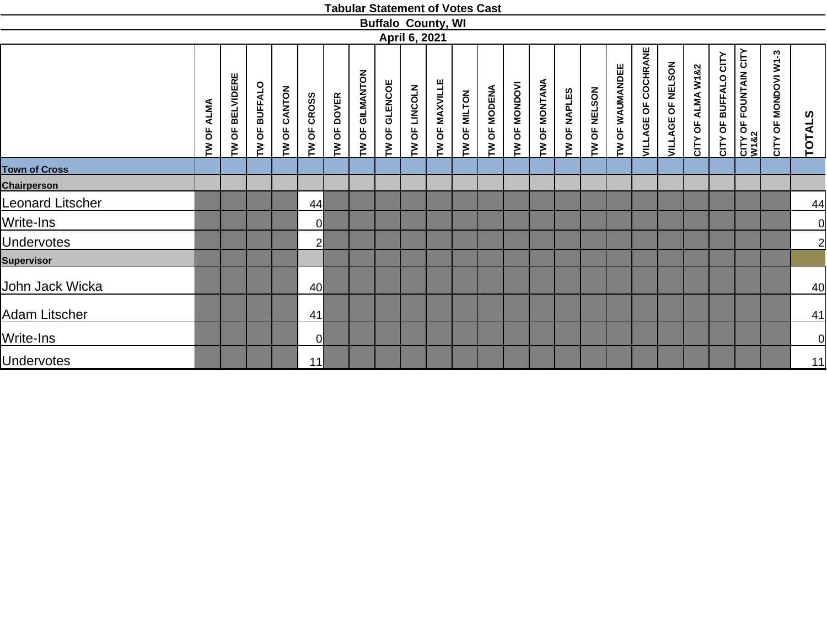|                      |                      |                            |               |                 |                       |             |                    |                  |               | <b>Buffalo County, WI</b> |              |              |                                |               |              |                        |                 |                     |                                                   |                   |                      |                               |                      |                |
|----------------------|----------------------|----------------------------|---------------|-----------------|-----------------------|-------------|--------------------|------------------|---------------|---------------------------|--------------|--------------|--------------------------------|---------------|--------------|------------------------|-----------------|---------------------|---------------------------------------------------|-------------------|----------------------|-------------------------------|----------------------|----------------|
|                      |                      |                            |               |                 |                       |             |                    |                  | April 6, 2021 |                           |              |              |                                |               |              |                        |                 |                     |                                                   |                   |                      |                               |                      |                |
|                      | <b>ALMA</b><br>TW OF | <b>BELVIDERE</b><br>ხ<br>M | TW OF BUFFALO | CANTON<br>TW OF | <b>CROSS</b><br>TW OF | TW OF DOVER | GILMANTON<br>TW OF | GLENCOE<br>TW OF | TW OF LINCOLN | TW OF MAXVILLE            | TW OF MILTON | TW OF MODENA | <b>MONDOVI</b><br><b>TW OF</b> | TW OF MONTANA | TW OF NAPLES | <b>NELSON</b><br>TW OF | TW OF WAUMANDEE | VILLAGE OF COCHRANE | <b>NELSON</b><br>$\overline{6}$<br><b>VILLAGE</b> | CITY OF ALMA W1&2 | CITY OF BUFFALO CITY | CITY OF FOUNTAIN CITY<br>W1&2 | CITY OF MONDOVI W1-3 | <b>TOTALS</b>  |
| <b>Town of Cross</b> |                      |                            |               |                 |                       |             |                    |                  |               |                           |              |              |                                |               |              |                        |                 |                     |                                                   |                   |                      |                               |                      |                |
| <b>Chairperson</b>   |                      |                            |               |                 |                       |             |                    |                  |               |                           |              |              |                                |               |              |                        |                 |                     |                                                   |                   |                      |                               |                      |                |
| Leonard Litscher     |                      |                            |               |                 | 44                    |             |                    |                  |               |                           |              |              |                                |               |              |                        |                 |                     |                                                   |                   |                      |                               |                      | 44             |
| Write-Ins            |                      |                            |               |                 | <sup>o</sup>          |             |                    |                  |               |                           |              |              |                                |               |              |                        |                 |                     |                                                   |                   |                      |                               |                      | 0              |
| <b>Undervotes</b>    |                      |                            |               |                 | $\overline{2}$        |             |                    |                  |               |                           |              |              |                                |               |              |                        |                 |                     |                                                   |                   |                      |                               |                      | $\overline{2}$ |
| <b>Supervisor</b>    |                      |                            |               |                 |                       |             |                    |                  |               |                           |              |              |                                |               |              |                        |                 |                     |                                                   |                   |                      |                               |                      |                |
| John Jack Wicka      |                      |                            |               |                 | 40                    |             |                    |                  |               |                           |              |              |                                |               |              |                        |                 |                     |                                                   |                   |                      |                               |                      | 40             |
| Adam Litscher        |                      |                            |               |                 | 41                    |             |                    |                  |               |                           |              |              |                                |               |              |                        |                 |                     |                                                   |                   |                      |                               |                      | 41             |
| Write-Ins            |                      |                            |               |                 | $\overline{0}$        |             |                    |                  |               |                           |              |              |                                |               |              |                        |                 |                     |                                                   |                   |                      |                               |                      | $\overline{0}$ |
| <b>Undervotes</b>    |                      |                            |               |                 | 11                    |             |                    |                  |               |                           |              |              |                                |               |              |                        |                 |                     |                                                   |                   |                      |                               |                      | 11             |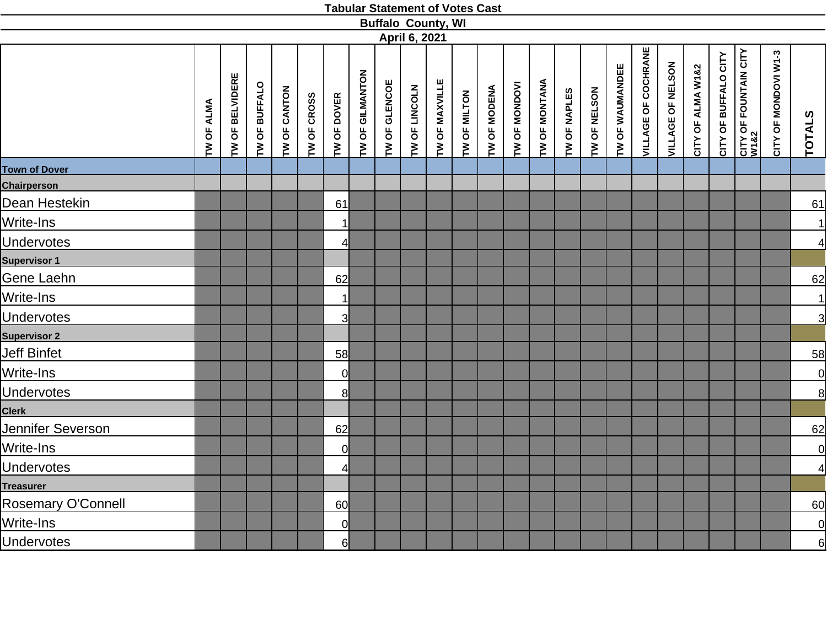|                      |            |                 |               |              |             |                |                 | <b>Buffalo County, WI</b> |               |                |              |              |               |               |              |              |                 |                            |                   |                   |                      |                                       |                      |                 |
|----------------------|------------|-----------------|---------------|--------------|-------------|----------------|-----------------|---------------------------|---------------|----------------|--------------|--------------|---------------|---------------|--------------|--------------|-----------------|----------------------------|-------------------|-------------------|----------------------|---------------------------------------|----------------------|-----------------|
|                      |            |                 |               |              |             |                |                 |                           | April 6, 2021 |                |              |              |               |               |              |              |                 |                            |                   |                   |                      |                                       |                      |                 |
|                      | TW OF ALMA | TW OF BELVIDERE | TW OF BUFFALO | TW OF CANTON | TW OF CROSS | TW OF DOVER    | TW OF GILMANTON | TW OF GLENCOE             | TW OF LINCOLN | TW OF MAXVILLE | TW OF MILTON | TW OF MODENA | TW OF MONDOVI | TW OF MONTANA | TW OF NAPLES | TW OF NELSON | TW OF WAUMANDEE | <b>VILLAGE OF COCHRANE</b> | VILLAGE OF NELSON | CITY OF ALMA W1&2 | CITY OF BUFFALO CITY | <b>CITY OF FOUNTAIN CITY<br/>W182</b> | CITY OF MONDOVI W1-3 | <b>TOTALS</b>   |
| <b>Town of Dover</b> |            |                 |               |              |             |                |                 |                           |               |                |              |              |               |               |              |              |                 |                            |                   |                   |                      |                                       |                      |                 |
| <b>Chairperson</b>   |            |                 |               |              |             |                |                 |                           |               |                |              |              |               |               |              |              |                 |                            |                   |                   |                      |                                       |                      |                 |
| Dean Hestekin        |            |                 |               |              |             | 61             |                 |                           |               |                |              |              |               |               |              |              |                 |                            |                   |                   |                      |                                       |                      | 61              |
| Write-Ins            |            |                 |               |              |             | 1              |                 |                           |               |                |              |              |               |               |              |              |                 |                            |                   |                   |                      |                                       |                      | $\vert$         |
| <b>Undervotes</b>    |            |                 |               |              |             | $\overline{4}$ |                 |                           |               |                |              |              |               |               |              |              |                 |                            |                   |                   |                      |                                       |                      | $\overline{4}$  |
| <b>Supervisor 1</b>  |            |                 |               |              |             |                |                 |                           |               |                |              |              |               |               |              |              |                 |                            |                   |                   |                      |                                       |                      |                 |
| Gene Laehn           |            |                 |               |              |             | 62             |                 |                           |               |                |              |              |               |               |              |              |                 |                            |                   |                   |                      |                                       |                      | 62              |
| Write-Ins            |            |                 |               |              |             | 1              |                 |                           |               |                |              |              |               |               |              |              |                 |                            |                   |                   |                      |                                       |                      | $\overline{1}$  |
| <b>Undervotes</b>    |            |                 |               |              |             | $\overline{3}$ |                 |                           |               |                |              |              |               |               |              |              |                 |                            |                   |                   |                      |                                       |                      | $\overline{3}$  |
| <b>Supervisor 2</b>  |            |                 |               |              |             |                |                 |                           |               |                |              |              |               |               |              |              |                 |                            |                   |                   |                      |                                       |                      |                 |
| Jeff Binfet          |            |                 |               |              |             | 58             |                 |                           |               |                |              |              |               |               |              |              |                 |                            |                   |                   |                      |                                       |                      | $\overline{58}$ |
| Write-Ins            |            |                 |               |              |             | $\overline{0}$ |                 |                           |               |                |              |              |               |               |              |              |                 |                            |                   |                   |                      |                                       |                      | 0               |
| <b>Undervotes</b>    |            |                 |               |              |             | 8              |                 |                           |               |                |              |              |               |               |              |              |                 |                            |                   |                   |                      |                                       |                      | 8               |
| <b>Clerk</b>         |            |                 |               |              |             |                |                 |                           |               |                |              |              |               |               |              |              |                 |                            |                   |                   |                      |                                       |                      |                 |
| Jennifer Severson    |            |                 |               |              |             | 62             |                 |                           |               |                |              |              |               |               |              |              |                 |                            |                   |                   |                      |                                       |                      | 62              |
| Write-Ins            |            |                 |               |              |             | $\Omega$       |                 |                           |               |                |              |              |               |               |              |              |                 |                            |                   |                   |                      |                                       |                      | 0               |
| <b>Undervotes</b>    |            |                 |               |              |             | $\overline{4}$ |                 |                           |               |                |              |              |               |               |              |              |                 |                            |                   |                   |                      |                                       |                      | $\overline{4}$  |
| <b>Treasurer</b>     |            |                 |               |              |             |                |                 |                           |               |                |              |              |               |               |              |              |                 |                            |                   |                   |                      |                                       |                      |                 |
| Rosemary O'Connell   |            |                 |               |              |             | 60             |                 |                           |               |                |              |              |               |               |              |              |                 |                            |                   |                   |                      |                                       |                      | 60              |
| Write-Ins            |            |                 |               |              |             | $\Omega$       |                 |                           |               |                |              |              |               |               |              |              |                 |                            |                   |                   |                      |                                       |                      | $\overline{0}$  |
| <b>Undervotes</b>    |            |                 |               |              |             | $6 \mid$       |                 |                           |               |                |              |              |               |               |              |              |                 |                            |                   |                   |                      |                                       |                      | 6               |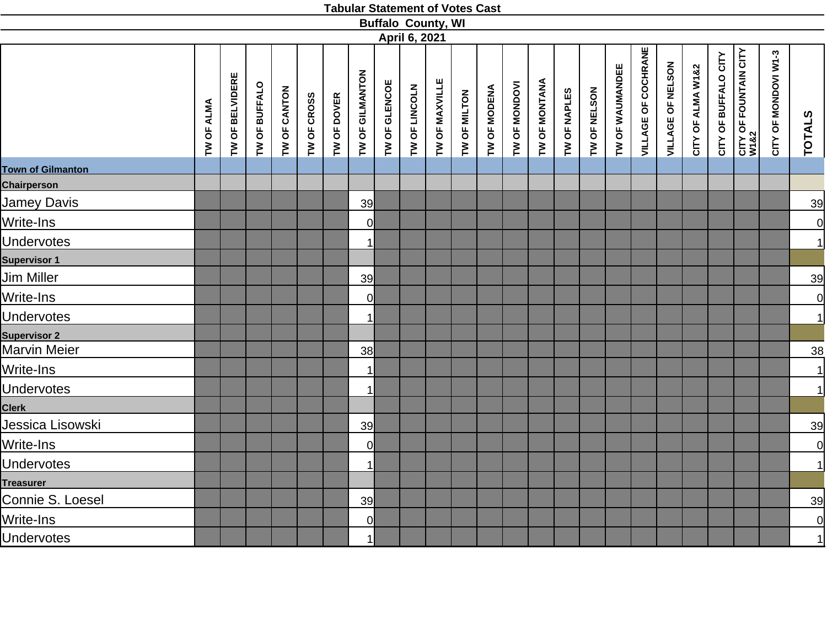|                          |            |                 |               |              |             |             |                 |               |               | <b>Buffalo County, WI</b> |              |              |               |               |              |              |                 |                            |                   |                   |                      |                               |                      |                |
|--------------------------|------------|-----------------|---------------|--------------|-------------|-------------|-----------------|---------------|---------------|---------------------------|--------------|--------------|---------------|---------------|--------------|--------------|-----------------|----------------------------|-------------------|-------------------|----------------------|-------------------------------|----------------------|----------------|
|                          |            |                 |               |              |             |             |                 |               | April 6, 2021 |                           |              |              |               |               |              |              |                 |                            |                   |                   |                      |                               |                      |                |
|                          | TW OF ALMA | TW OF BELVIDERE | TW OF BUFFALO | TW OF CANTON | TW OF CROSS | TW OF DOVER | TW OF GILMANTON | TW OF GLENCOE | TW OF LINCOLN | TW OF MAXVILLE            | TW OF MILTON | TW OF MODENA | TW OF MONDOVI | TW OF MONTANA | TW OF NAPLES | TW OF NELSON | TW OF WAUMANDEE | <b>VILLAGE OF COCHRANE</b> | VILLAGE OF NELSON | CITY OF ALMA W1&2 | CITY OF BUFFALO CITY | CITY OF FOUNTAIN CITY<br>W1&2 | CITY OF MONDOVI W1-3 | <b>TOTALS</b>  |
| <b>Town of Gilmanton</b> |            |                 |               |              |             |             |                 |               |               |                           |              |              |               |               |              |              |                 |                            |                   |                   |                      |                               |                      |                |
| <b>Chairperson</b>       |            |                 |               |              |             |             |                 |               |               |                           |              |              |               |               |              |              |                 |                            |                   |                   |                      |                               |                      |                |
| Jamey Davis              |            |                 |               |              |             |             | 39              |               |               |                           |              |              |               |               |              |              |                 |                            |                   |                   |                      |                               |                      | 39             |
| Write-Ins                |            |                 |               |              |             |             | 0l              |               |               |                           |              |              |               |               |              |              |                 |                            |                   |                   |                      |                               |                      | $\overline{0}$ |
| <b>Undervotes</b>        |            |                 |               |              |             |             | 1               |               |               |                           |              |              |               |               |              |              |                 |                            |                   |                   |                      |                               |                      | 1              |
| <b>Supervisor 1</b>      |            |                 |               |              |             |             |                 |               |               |                           |              |              |               |               |              |              |                 |                            |                   |                   |                      |                               |                      |                |
| Jim Miller               |            |                 |               |              |             |             | 39              |               |               |                           |              |              |               |               |              |              |                 |                            |                   |                   |                      |                               |                      | 39             |
| Write-Ins                |            |                 |               |              |             |             | 0l              |               |               |                           |              |              |               |               |              |              |                 |                            |                   |                   |                      |                               |                      | $\overline{0}$ |
| <b>Undervotes</b>        |            |                 |               |              |             |             | 1               |               |               |                           |              |              |               |               |              |              |                 |                            |                   |                   |                      |                               |                      | 1              |
| <b>Supervisor 2</b>      |            |                 |               |              |             |             |                 |               |               |                           |              |              |               |               |              |              |                 |                            |                   |                   |                      |                               |                      |                |
| Marvin Meier             |            |                 |               |              |             |             | 38              |               |               |                           |              |              |               |               |              |              |                 |                            |                   |                   |                      |                               |                      | $\frac{38}{5}$ |
| Write-Ins                |            |                 |               |              |             |             | $\mathbf 1$     |               |               |                           |              |              |               |               |              |              |                 |                            |                   |                   |                      |                               |                      | $\vert$        |
| <b>Undervotes</b>        |            |                 |               |              |             |             | 1               |               |               |                           |              |              |               |               |              |              |                 |                            |                   |                   |                      |                               |                      | 1              |
| <b>Clerk</b>             |            |                 |               |              |             |             |                 |               |               |                           |              |              |               |               |              |              |                 |                            |                   |                   |                      |                               |                      |                |
| Jessica Lisowski         |            |                 |               |              |             |             | 39              |               |               |                           |              |              |               |               |              |              |                 |                            |                   |                   |                      |                               |                      | 39             |
| Write-Ins                |            |                 |               |              |             |             | <sup>o</sup>    |               |               |                           |              |              |               |               |              |              |                 |                            |                   |                   |                      |                               |                      | $\overline{0}$ |
| <b>Undervotes</b>        |            |                 |               |              |             |             | 1               |               |               |                           |              |              |               |               |              |              |                 |                            |                   |                   |                      |                               |                      | $\vert$        |
| <b>Treasurer</b>         |            |                 |               |              |             |             |                 |               |               |                           |              |              |               |               |              |              |                 |                            |                   |                   |                      |                               |                      |                |
| Connie S. Loesel         |            |                 |               |              |             |             | 39              |               |               |                           |              |              |               |               |              |              |                 |                            |                   |                   |                      |                               |                      | 39             |
| Write-Ins                |            |                 |               |              |             |             | $\overline{0}$  |               |               |                           |              |              |               |               |              |              |                 |                            |                   |                   |                      |                               |                      | $\overline{0}$ |
| <b>Undervotes</b>        |            |                 |               |              |             |             | $\mathbf{1}$    |               |               |                           |              |              |               |               |              |              |                 |                            |                   |                   |                      |                               |                      | 1              |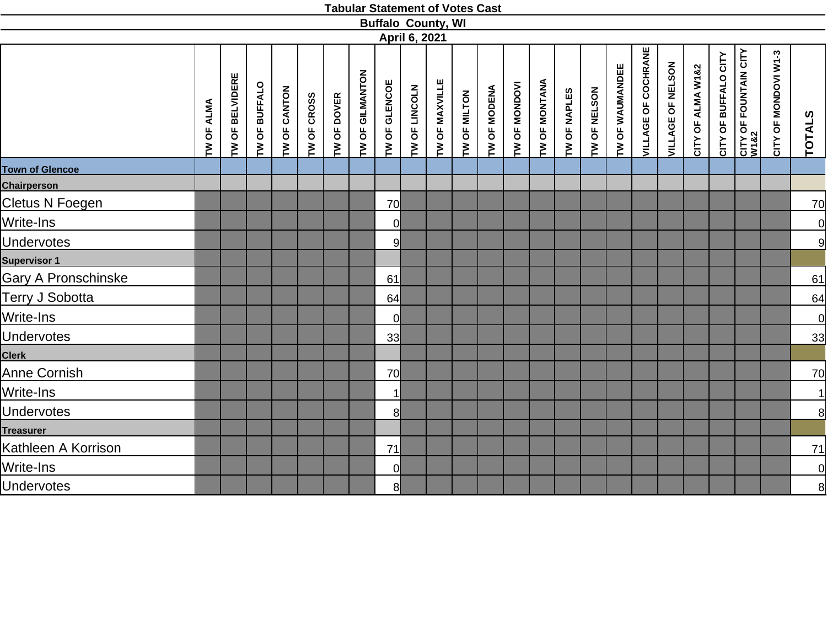|                        |            |                 |               |              |             |             |                 |                |               | <b>Buffalo County, WI</b> |              |              |               |               |              |              |                 |                            |                   |                   |                      |                                      |                      |                |
|------------------------|------------|-----------------|---------------|--------------|-------------|-------------|-----------------|----------------|---------------|---------------------------|--------------|--------------|---------------|---------------|--------------|--------------|-----------------|----------------------------|-------------------|-------------------|----------------------|--------------------------------------|----------------------|----------------|
|                        |            |                 |               |              |             |             |                 |                | April 6, 2021 |                           |              |              |               |               |              |              |                 |                            |                   |                   |                      |                                      |                      |                |
|                        | TW OF ALMA | TW OF BELVIDERE | TW OF BUFFALO | TW OF CANTON | TW OF CROSS | TW OF DOVER | TW OF GILMANTON | TW OF GLENCOE  | TW OF LINCOLN | TW OF MAXVILLE            | TW OF MILTON | TW OF MODENA | TW OF MONDOVI | TW OF MONTANA | TW OF NAPLES | TW OF NELSON | TW OF WAUMANDEE | <b>VILLAGE OF COCHRANE</b> | VILLAGE OF NELSON | CITY OF ALMA W1&2 | CITY OF BUFFALO CITY | <b>CITY OF FOUNTAIN CITY</b><br>W1&2 | CITY OF MONDOVI W1-3 | <b>TOTALS</b>  |
| <b>Town of Glencoe</b> |            |                 |               |              |             |             |                 |                |               |                           |              |              |               |               |              |              |                 |                            |                   |                   |                      |                                      |                      |                |
| <b>Chairperson</b>     |            |                 |               |              |             |             |                 |                |               |                           |              |              |               |               |              |              |                 |                            |                   |                   |                      |                                      |                      |                |
| Cletus N Foegen        |            |                 |               |              |             |             |                 | 70             |               |                           |              |              |               |               |              |              |                 |                            |                   |                   |                      |                                      |                      | <u>70</u>      |
| Write-Ins              |            |                 |               |              |             |             |                 | $\overline{0}$ |               |                           |              |              |               |               |              |              |                 |                            |                   |                   |                      |                                      |                      | $\overline{0}$ |
| <b>Undervotes</b>      |            |                 |               |              |             |             |                 | 9              |               |                           |              |              |               |               |              |              |                 |                            |                   |                   |                      |                                      |                      | 9              |
| <b>Supervisor 1</b>    |            |                 |               |              |             |             |                 |                |               |                           |              |              |               |               |              |              |                 |                            |                   |                   |                      |                                      |                      |                |
| Gary A Pronschinske    |            |                 |               |              |             |             |                 | 61             |               |                           |              |              |               |               |              |              |                 |                            |                   |                   |                      |                                      |                      | 61             |
| Terry J Sobotta        |            |                 |               |              |             |             |                 | 64             |               |                           |              |              |               |               |              |              |                 |                            |                   |                   |                      |                                      |                      | 64             |
| Write-Ins              |            |                 |               |              |             |             |                 | $\overline{0}$ |               |                           |              |              |               |               |              |              |                 |                            |                   |                   |                      |                                      |                      | 0              |
| <b>Undervotes</b>      |            |                 |               |              |             |             |                 | 33             |               |                           |              |              |               |               |              |              |                 |                            |                   |                   |                      |                                      |                      | 33             |
| <b>Clerk</b>           |            |                 |               |              |             |             |                 |                |               |                           |              |              |               |               |              |              |                 |                            |                   |                   |                      |                                      |                      |                |
| Anne Cornish           |            |                 |               |              |             |             |                 | 70             |               |                           |              |              |               |               |              |              |                 |                            |                   |                   |                      |                                      |                      | <u>70</u>      |
| Write-Ins              |            |                 |               |              |             |             |                 |                |               |                           |              |              |               |               |              |              |                 |                            |                   |                   |                      |                                      |                      | $\vert$        |
| <b>Undervotes</b>      |            |                 |               |              |             |             |                 | 8 <sup>1</sup> |               |                           |              |              |               |               |              |              |                 |                            |                   |                   |                      |                                      |                      | 8              |
| <b>Treasurer</b>       |            |                 |               |              |             |             |                 |                |               |                           |              |              |               |               |              |              |                 |                            |                   |                   |                      |                                      |                      |                |
| Kathleen A Korrison    |            |                 |               |              |             |             |                 | 71             |               |                           |              |              |               |               |              |              |                 |                            |                   |                   |                      |                                      |                      | 71             |
| Write-Ins              |            |                 |               |              |             |             |                 | $\overline{0}$ |               |                           |              |              |               |               |              |              |                 |                            |                   |                   |                      |                                      |                      | <u>이</u>       |
| <b>Undervotes</b>      |            |                 |               |              |             |             |                 | 8              |               |                           |              |              |               |               |              |              |                 |                            |                   |                   |                      |                                      |                      | 8              |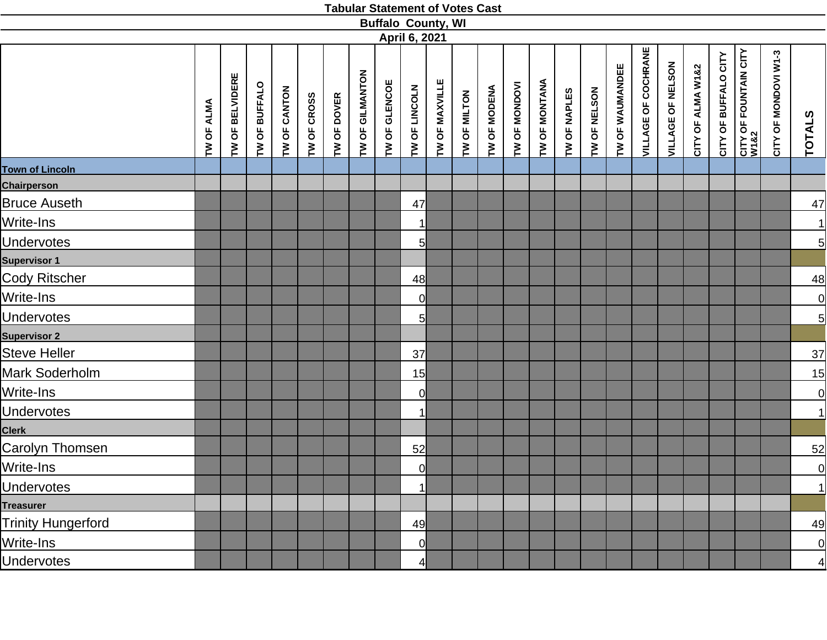|                           |                      |                           |               |              |             |             |                 | <b>Buffalo County, WI</b> |                |                |              |              |               |               |              |              |                 |                            |                   |                   |                      |                               |                      |                         |
|---------------------------|----------------------|---------------------------|---------------|--------------|-------------|-------------|-----------------|---------------------------|----------------|----------------|--------------|--------------|---------------|---------------|--------------|--------------|-----------------|----------------------------|-------------------|-------------------|----------------------|-------------------------------|----------------------|-------------------------|
|                           |                      |                           |               |              |             |             |                 |                           | April 6, 2021  |                |              |              |               |               |              |              |                 |                            |                   |                   |                      |                               |                      |                         |
|                           | <b>ALMA</b><br>TW OF | <b>BELVIDERE</b><br>TW OF | TW OF BUFFALO | TW OF CANTON | TW OF CROSS | TW OF DOVER | TW OF GILMANTON | TW OF GLENCOE             | TW OF LINCOLN  | TW OF MAXVILLE | TW OF MILTON | TW OF MODENA | TW OF MONDOVI | TW OF MONTANA | TW OF NAPLES | TW OF NELSON | TW OF WAUMANDEE | <b>VILLAGE OF COCHRANE</b> | VILLAGE OF NELSON | CITY OF ALMA W1&2 | CITY OF BUFFALO CITY | CITY OF FOUNTAIN CITY<br>W1&2 | CITY OF MONDOVI W1-3 | TOTALS                  |
| <b>Town of Lincoln</b>    |                      |                           |               |              |             |             |                 |                           |                |                |              |              |               |               |              |              |                 |                            |                   |                   |                      |                               |                      |                         |
| Chairperson               |                      |                           |               |              |             |             |                 |                           |                |                |              |              |               |               |              |              |                 |                            |                   |                   |                      |                               |                      |                         |
| <b>Bruce Auseth</b>       |                      |                           |               |              |             |             |                 |                           | 47             |                |              |              |               |               |              |              |                 |                            |                   |                   |                      |                               |                      | 47                      |
| Write-Ins                 |                      |                           |               |              |             |             |                 |                           | 11             |                |              |              |               |               |              |              |                 |                            |                   |                   |                      |                               |                      |                         |
| <b>Undervotes</b>         |                      |                           |               |              |             |             |                 |                           | 5              |                |              |              |               |               |              |              |                 |                            |                   |                   |                      |                               |                      | $\frac{1}{5}$           |
| <b>Supervisor 1</b>       |                      |                           |               |              |             |             |                 |                           |                |                |              |              |               |               |              |              |                 |                            |                   |                   |                      |                               |                      |                         |
| <b>Cody Ritscher</b>      |                      |                           |               |              |             |             |                 |                           | 48             |                |              |              |               |               |              |              |                 |                            |                   |                   |                      |                               |                      | $\frac{48}{}$           |
| Write-Ins                 |                      |                           |               |              |             |             |                 |                           | $\overline{0}$ |                |              |              |               |               |              |              |                 |                            |                   |                   |                      |                               |                      |                         |
| <b>Undervotes</b>         |                      |                           |               |              |             |             |                 |                           | 5              |                |              |              |               |               |              |              |                 |                            |                   |                   |                      |                               |                      | $\frac{1}{5}$           |
| <b>Supervisor 2</b>       |                      |                           |               |              |             |             |                 |                           |                |                |              |              |               |               |              |              |                 |                            |                   |                   |                      |                               |                      |                         |
| <b>Steve Heller</b>       |                      |                           |               |              |             |             |                 |                           | 37             |                |              |              |               |               |              |              |                 |                            |                   |                   |                      |                               |                      | $\overline{37}$         |
| Mark Soderholm            |                      |                           |               |              |             |             |                 |                           | 15             |                |              |              |               |               |              |              |                 |                            |                   |                   |                      |                               |                      | 15                      |
| Write-Ins                 |                      |                           |               |              |             |             |                 |                           | $\overline{0}$ |                |              |              |               |               |              |              |                 |                            |                   |                   |                      |                               |                      | $\overline{0}$          |
| <b>Undervotes</b>         |                      |                           |               |              |             |             |                 |                           |                |                |              |              |               |               |              |              |                 |                            |                   |                   |                      |                               |                      | 1                       |
| <b>Clerk</b>              |                      |                           |               |              |             |             |                 |                           |                |                |              |              |               |               |              |              |                 |                            |                   |                   |                      |                               |                      |                         |
| Carolyn Thomsen           |                      |                           |               |              |             |             |                 |                           | 52             |                |              |              |               |               |              |              |                 |                            |                   |                   |                      |                               |                      | $\overline{52}$         |
| Write-Ins                 |                      |                           |               |              |             |             |                 |                           | 0              |                |              |              |               |               |              |              |                 |                            |                   |                   |                      |                               |                      | <u>이</u>                |
| <b>Undervotes</b>         |                      |                           |               |              |             |             |                 |                           | $\mathbf{1}$   |                |              |              |               |               |              |              |                 |                            |                   |                   |                      |                               |                      | $\overline{\mathbf{1}}$ |
| <b>Treasurer</b>          |                      |                           |               |              |             |             |                 |                           |                |                |              |              |               |               |              |              |                 |                            |                   |                   |                      |                               |                      |                         |
| <b>Trinity Hungerford</b> |                      |                           |               |              |             |             |                 |                           | 49             |                |              |              |               |               |              |              |                 |                            |                   |                   |                      |                               |                      | 49                      |
| Write-Ins                 |                      |                           |               |              |             |             |                 |                           | 0              |                |              |              |               |               |              |              |                 |                            |                   |                   |                      |                               |                      | <u>이</u>                |
| <b>Undervotes</b>         |                      |                           |               |              |             |             |                 |                           | 41             |                |              |              |               |               |              |              |                 |                            |                   |                   |                      |                               |                      | $\overline{4}$          |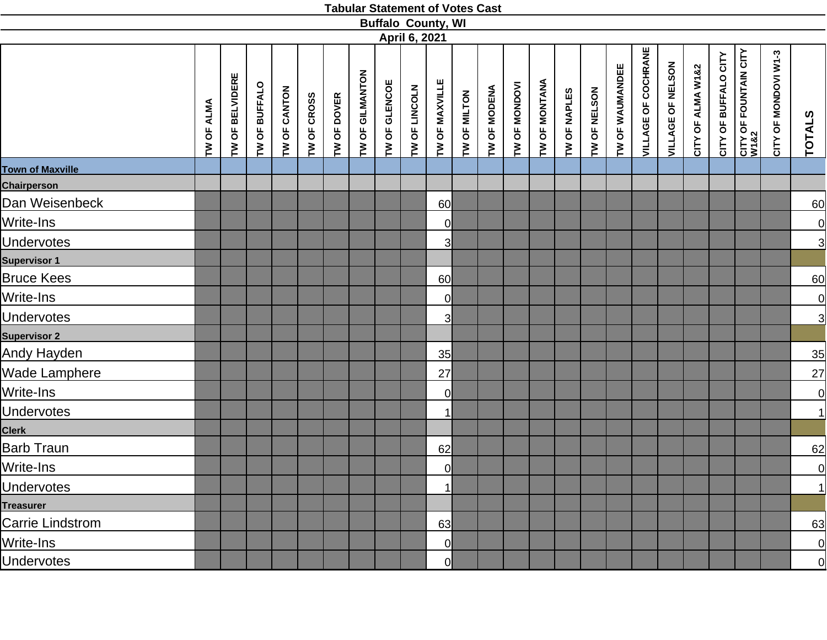|                         |            |                           |               |              |             |             |                 |               | <b>Buffalo County, WI</b>      |                |              |              |               |               |              |              |                 |                            |                   |                   |                      |                                           |                      |                                         |
|-------------------------|------------|---------------------------|---------------|--------------|-------------|-------------|-----------------|---------------|--------------------------------|----------------|--------------|--------------|---------------|---------------|--------------|--------------|-----------------|----------------------------|-------------------|-------------------|----------------------|-------------------------------------------|----------------------|-----------------------------------------|
|                         | TW OF ALMA | <b>BELVIDERE</b><br>TW OF | TW OF BUFFALO | TW OF CANTON | TW OF CROSS | TW OF DOVER | TW OF GILMANTON | TW OF GLENCOE | April 6, 2021<br>TW OF LINCOLN | TW OF MAXVILLE | TW OF MILTON | TW OF MODENA | TW OF MONDOVI | TW OF MONTANA | TW OF NAPLES | TW OF NELSON | TW OF WAUMANDEE | <b>VILLAGE OF COCHRANE</b> | VILLAGE OF NELSON | CITY OF ALMA W1&2 | CITY OF BUFFALO CITY | <b>CITY OF FOUNTAIN CITY<br/>W1&amp;2</b> | CITY OF MONDOVI W1-3 | <b>TOTALS</b>                           |
| <b>Town of Maxville</b> |            |                           |               |              |             |             |                 |               |                                |                |              |              |               |               |              |              |                 |                            |                   |                   |                      |                                           |                      |                                         |
| <b>Chairperson</b>      |            |                           |               |              |             |             |                 |               |                                |                |              |              |               |               |              |              |                 |                            |                   |                   |                      |                                           |                      |                                         |
| Dan Weisenbeck          |            |                           |               |              |             |             |                 |               |                                | 60             |              |              |               |               |              |              |                 |                            |                   |                   |                      |                                           |                      | 60                                      |
| Write-Ins               |            |                           |               |              |             |             |                 |               |                                | <sup>o</sup>   |              |              |               |               |              |              |                 |                            |                   |                   |                      |                                           |                      |                                         |
| <b>Undervotes</b>       |            |                           |               |              |             |             |                 |               |                                | 3              |              |              |               |               |              |              |                 |                            |                   |                   |                      |                                           |                      | $\frac{1}{3}$                           |
| <b>Supervisor 1</b>     |            |                           |               |              |             |             |                 |               |                                |                |              |              |               |               |              |              |                 |                            |                   |                   |                      |                                           |                      |                                         |
| <b>Bruce Kees</b>       |            |                           |               |              |             |             |                 |               |                                | 60             |              |              |               |               |              |              |                 |                            |                   |                   |                      |                                           |                      | 60                                      |
| Write-Ins               |            |                           |               |              |             |             |                 |               |                                | <sup>o</sup>   |              |              |               |               |              |              |                 |                            |                   |                   |                      |                                           |                      |                                         |
| <b>Undervotes</b>       |            |                           |               |              |             |             |                 |               |                                | 3              |              |              |               |               |              |              |                 |                            |                   |                   |                      |                                           |                      | $\frac{1}{3}$                           |
| <b>Supervisor 2</b>     |            |                           |               |              |             |             |                 |               |                                |                |              |              |               |               |              |              |                 |                            |                   |                   |                      |                                           |                      |                                         |
| Andy Hayden             |            |                           |               |              |             |             |                 |               |                                | 35             |              |              |               |               |              |              |                 |                            |                   |                   |                      |                                           |                      | 35                                      |
| Wade Lamphere           |            |                           |               |              |             |             |                 |               |                                | 27             |              |              |               |               |              |              |                 |                            |                   |                   |                      |                                           |                      | 27                                      |
| Write-Ins               |            |                           |               |              |             |             |                 |               |                                | <sup>o</sup>   |              |              |               |               |              |              |                 |                            |                   |                   |                      |                                           |                      | $\overline{0}$                          |
| <b>Undervotes</b>       |            |                           |               |              |             |             |                 |               |                                | $\mathbf{1}$   |              |              |               |               |              |              |                 |                            |                   |                   |                      |                                           |                      | 1                                       |
| <b>Clerk</b>            |            |                           |               |              |             |             |                 |               |                                |                |              |              |               |               |              |              |                 |                            |                   |                   |                      |                                           |                      |                                         |
| <b>Barb Traun</b>       |            |                           |               |              |             |             |                 |               |                                | 62             |              |              |               |               |              |              |                 |                            |                   |                   |                      |                                           |                      | 62                                      |
| Write-Ins               |            |                           |               |              |             |             |                 |               |                                | 0              |              |              |               |               |              |              |                 |                            |                   |                   |                      |                                           |                      |                                         |
| <b>Undervotes</b>       |            |                           |               |              |             |             |                 |               |                                | 1              |              |              |               |               |              |              |                 |                            |                   |                   |                      |                                           |                      | $\begin{array}{c}\n0 \\ 1\n\end{array}$ |
| <b>Treasurer</b>        |            |                           |               |              |             |             |                 |               |                                |                |              |              |               |               |              |              |                 |                            |                   |                   |                      |                                           |                      |                                         |
| Carrie Lindstrom        |            |                           |               |              |             |             |                 |               |                                | 63             |              |              |               |               |              |              |                 |                            |                   |                   |                      |                                           |                      | 63                                      |
| Write-Ins               |            |                           |               |              |             |             |                 |               |                                | <sup>0</sup>   |              |              |               |               |              |              |                 |                            |                   |                   |                      |                                           |                      | <u>이</u>                                |
| <b>Undervotes</b>       |            |                           |               |              |             |             |                 |               |                                | 0l             |              |              |               |               |              |              |                 |                            |                   |                   |                      |                                           |                      | 0                                       |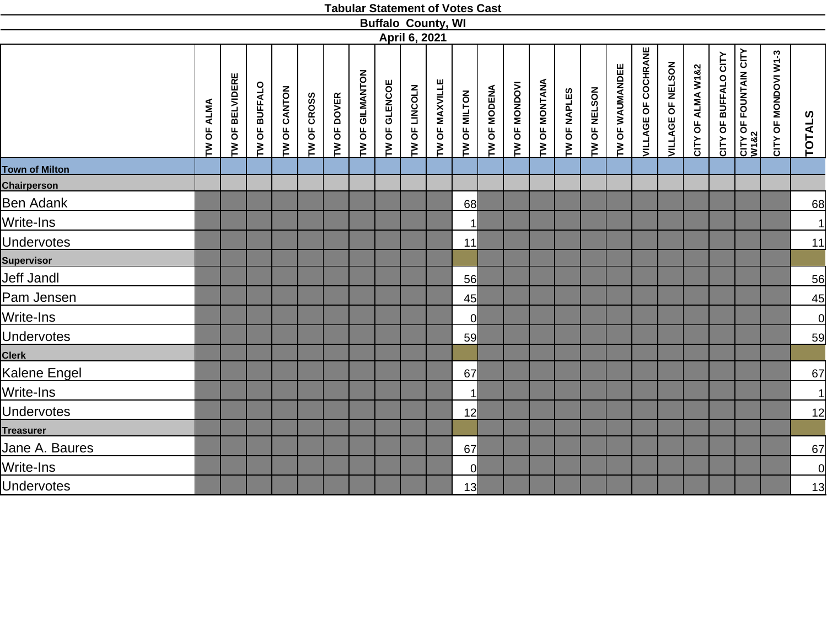|                       |            |                 |               |              |             |             |                 |               |               | <b>Buffalo County, WI</b> |                |              |               |               |              |              |                 |                     |                   |                   |                      |                               |                      |               |
|-----------------------|------------|-----------------|---------------|--------------|-------------|-------------|-----------------|---------------|---------------|---------------------------|----------------|--------------|---------------|---------------|--------------|--------------|-----------------|---------------------|-------------------|-------------------|----------------------|-------------------------------|----------------------|---------------|
|                       |            |                 |               |              |             |             |                 |               | April 6, 2021 |                           |                |              |               |               |              |              |                 |                     |                   |                   |                      |                               |                      |               |
|                       | TW OF ALMA | TW OF BELVIDERE | TW OF BUFFALO | TW OF CANTON | TW OF CROSS | TW OF DOVER | TW OF GILMANTON | TW OF GLENCOE | TW OF LINCOLN | TW OF MAXVILLE            | TW OF MILTON   | TW OF MODENA | TW OF MONDOVI | TW OF MONTANA | TW OF NAPLES | TW OF NELSON | TW OF WAUMANDEE | VILLAGE OF COCHRANE | VILLAGE OF NELSON | CITY OF ALMA W1&2 | CITY OF BUFFALO CITY | CITY OF FOUNTAIN CITY<br>W1&2 | CITY OF MONDOVI W1-3 | <b>TOTALS</b> |
| <b>Town of Milton</b> |            |                 |               |              |             |             |                 |               |               |                           |                |              |               |               |              |              |                 |                     |                   |                   |                      |                               |                      |               |
| <b>Chairperson</b>    |            |                 |               |              |             |             |                 |               |               |                           |                |              |               |               |              |              |                 |                     |                   |                   |                      |                               |                      |               |
| Ben Adank             |            |                 |               |              |             |             |                 |               |               |                           | 68             |              |               |               |              |              |                 |                     |                   |                   |                      |                               |                      | 68            |
| Write-Ins             |            |                 |               |              |             |             |                 |               |               |                           | $\mathbf{1}$   |              |               |               |              |              |                 |                     |                   |                   |                      |                               |                      | 1             |
| <b>Undervotes</b>     |            |                 |               |              |             |             |                 |               |               |                           | 11             |              |               |               |              |              |                 |                     |                   |                   |                      |                               |                      | 11            |
| <b>Supervisor</b>     |            |                 |               |              |             |             |                 |               |               |                           |                |              |               |               |              |              |                 |                     |                   |                   |                      |                               |                      |               |
| <b>Jeff Jandl</b>     |            |                 |               |              |             |             |                 |               |               |                           | 56             |              |               |               |              |              |                 |                     |                   |                   |                      |                               |                      | 56            |
| Pam Jensen            |            |                 |               |              |             |             |                 |               |               |                           | 45             |              |               |               |              |              |                 |                     |                   |                   |                      |                               |                      | 45            |
| Write-Ins             |            |                 |               |              |             |             |                 |               |               |                           | <sub>0</sub>   |              |               |               |              |              |                 |                     |                   |                   |                      |                               |                      | 0             |
| <b>Undervotes</b>     |            |                 |               |              |             |             |                 |               |               |                           | 59             |              |               |               |              |              |                 |                     |                   |                   |                      |                               |                      | 59            |
| <b>Clerk</b>          |            |                 |               |              |             |             |                 |               |               |                           |                |              |               |               |              |              |                 |                     |                   |                   |                      |                               |                      |               |
| Kalene Engel          |            |                 |               |              |             |             |                 |               |               |                           | 67             |              |               |               |              |              |                 |                     |                   |                   |                      |                               |                      | 67            |
| Write-Ins             |            |                 |               |              |             |             |                 |               |               |                           | $\mathbf{1}$   |              |               |               |              |              |                 |                     |                   |                   |                      |                               |                      | $\vert$       |
| <b>Undervotes</b>     |            |                 |               |              |             |             |                 |               |               |                           | 12             |              |               |               |              |              |                 |                     |                   |                   |                      |                               |                      | <u>12</u>     |
| <b>Treasurer</b>      |            |                 |               |              |             |             |                 |               |               |                           |                |              |               |               |              |              |                 |                     |                   |                   |                      |                               |                      |               |
| Jane A. Baures        |            |                 |               |              |             |             |                 |               |               |                           | 67             |              |               |               |              |              |                 |                     |                   |                   |                      |                               |                      | 67            |
| Write-Ins             |            |                 |               |              |             |             |                 |               |               |                           | $\overline{0}$ |              |               |               |              |              |                 |                     |                   |                   |                      |                               |                      | 0             |
| <b>Undervotes</b>     |            |                 |               |              |             |             |                 |               |               |                           | 13             |              |               |               |              |              |                 |                     |                   |                   |                      |                               |                      | 13            |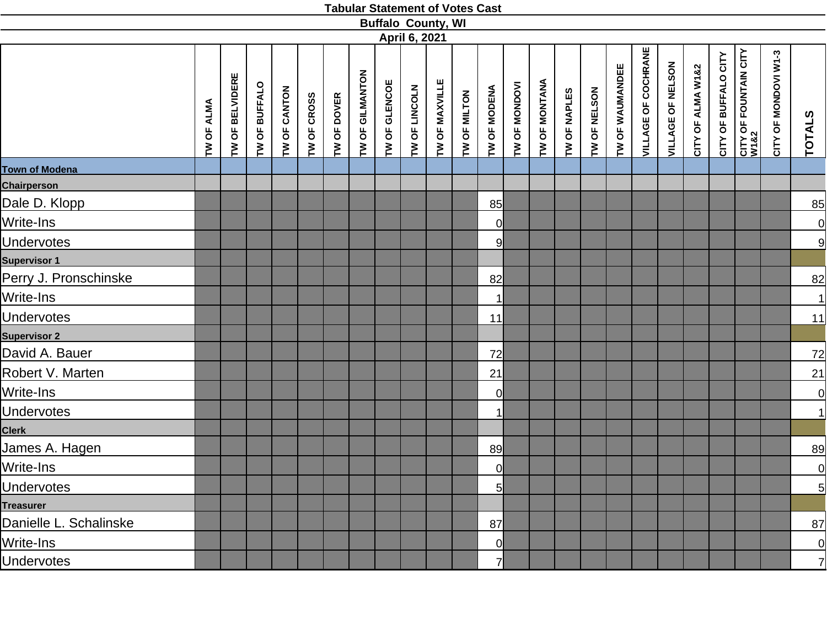|                        |            |                           |               |              |             |             |                 |               |               | <b>Buffalo County, WI</b> |              |                |               |                      |              |              |                 |                            |                   |                   |                      |                               |                      |                |
|------------------------|------------|---------------------------|---------------|--------------|-------------|-------------|-----------------|---------------|---------------|---------------------------|--------------|----------------|---------------|----------------------|--------------|--------------|-----------------|----------------------------|-------------------|-------------------|----------------------|-------------------------------|----------------------|----------------|
|                        |            |                           |               |              |             |             |                 |               | April 6, 2021 |                           |              |                |               |                      |              |              |                 |                            |                   |                   |                      |                               |                      |                |
|                        | TW OF ALMA | <b>BELVIDERE</b><br>TW OF | TW OF BUFFALO | TW OF CANTON | TW OF CROSS | TW OF DOVER | TW OF GILMANTON | TW OF GLENCOE | TW OF LINCOLN | TW OF MAXVILLE            | TW OF MILTON | TW OF MODENA   | TW OF MONDOVI | <b>TW OF MONTANA</b> | TW OF NAPLES | TW OF NELSON | TW OF WAUMANDEE | <b>VILLAGE OF COCHRANE</b> | VILLAGE OF NELSON | CITY OF ALMA W1&2 | CITY OF BUFFALO CITY | CITY OF FOUNTAIN CITY<br>W1&2 | CITY OF MONDOVI W1-3 | TOTALS         |
| <b>Town of Modena</b>  |            |                           |               |              |             |             |                 |               |               |                           |              |                |               |                      |              |              |                 |                            |                   |                   |                      |                               |                      |                |
| <b>Chairperson</b>     |            |                           |               |              |             |             |                 |               |               |                           |              |                |               |                      |              |              |                 |                            |                   |                   |                      |                               |                      |                |
| Dale D. Klopp          |            |                           |               |              |             |             |                 |               |               |                           |              | 85             |               |                      |              |              |                 |                            |                   |                   |                      |                               |                      | 85             |
| Write-Ins              |            |                           |               |              |             |             |                 |               |               |                           |              | $\overline{0}$ |               |                      |              |              |                 |                            |                   |                   |                      |                               |                      | 의              |
| <b>Undervotes</b>      |            |                           |               |              |             |             |                 |               |               |                           |              | 9              |               |                      |              |              |                 |                            |                   |                   |                      |                               |                      | 9              |
| <b>Supervisor 1</b>    |            |                           |               |              |             |             |                 |               |               |                           |              |                |               |                      |              |              |                 |                            |                   |                   |                      |                               |                      |                |
| Perry J. Pronschinske  |            |                           |               |              |             |             |                 |               |               |                           |              | 82             |               |                      |              |              |                 |                            |                   |                   |                      |                               |                      | 82             |
| Write-Ins              |            |                           |               |              |             |             |                 |               |               |                           |              |                |               |                      |              |              |                 |                            |                   |                   |                      |                               |                      | $\overline{1}$ |
| <b>Undervotes</b>      |            |                           |               |              |             |             |                 |               |               |                           |              | 11             |               |                      |              |              |                 |                            |                   |                   |                      |                               |                      | 11             |
| <b>Supervisor 2</b>    |            |                           |               |              |             |             |                 |               |               |                           |              |                |               |                      |              |              |                 |                            |                   |                   |                      |                               |                      |                |
| David A. Bauer         |            |                           |               |              |             |             |                 |               |               |                           |              | 72             |               |                      |              |              |                 |                            |                   |                   |                      |                               |                      | 72             |
| Robert V. Marten       |            |                           |               |              |             |             |                 |               |               |                           |              | 21             |               |                      |              |              |                 |                            |                   |                   |                      |                               |                      | 21             |
| Write-Ins              |            |                           |               |              |             |             |                 |               |               |                           |              | $\overline{0}$ |               |                      |              |              |                 |                            |                   |                   |                      |                               |                      | $\overline{0}$ |
| <b>Undervotes</b>      |            |                           |               |              |             |             |                 |               |               |                           |              |                |               |                      |              |              |                 |                            |                   |                   |                      |                               |                      | 1              |
| <b>Clerk</b>           |            |                           |               |              |             |             |                 |               |               |                           |              |                |               |                      |              |              |                 |                            |                   |                   |                      |                               |                      |                |
| James A. Hagen         |            |                           |               |              |             |             |                 |               |               |                           |              | 89             |               |                      |              |              |                 |                            |                   |                   |                      |                               |                      | 89             |
| Write-Ins              |            |                           |               |              |             |             |                 |               |               |                           |              | $\overline{0}$ |               |                      |              |              |                 |                            |                   |                   |                      |                               |                      | $\overline{0}$ |
| <b>Undervotes</b>      |            |                           |               |              |             |             |                 |               |               |                           |              | 5              |               |                      |              |              |                 |                            |                   |                   |                      |                               |                      | $\overline{5}$ |
| <b>Treasurer</b>       |            |                           |               |              |             |             |                 |               |               |                           |              |                |               |                      |              |              |                 |                            |                   |                   |                      |                               |                      |                |
| Danielle L. Schalinske |            |                           |               |              |             |             |                 |               |               |                           |              | 87             |               |                      |              |              |                 |                            |                   |                   |                      |                               |                      | 87             |
| Write-Ins              |            |                           |               |              |             |             |                 |               |               |                           |              | <sub>0</sub>   |               |                      |              |              |                 |                            |                   |                   |                      |                               |                      | $\overline{0}$ |
| <b>Undervotes</b>      |            |                           |               |              |             |             |                 |               |               |                           |              |                |               |                      |              |              |                 |                            |                   |                   |                      |                               |                      | $\overline{7}$ |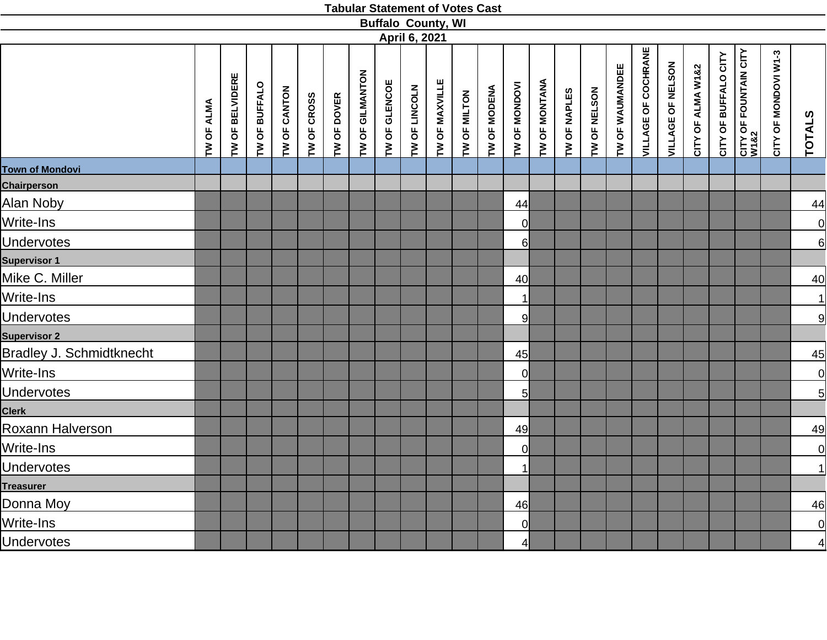|                                 |            |                 |               |              |             |             |                 | <b>Buffalo County, WI</b> |               |                |              |              |                      |                      |              |              |                 |                            |                   |                   |                      |                       |                      |                 |
|---------------------------------|------------|-----------------|---------------|--------------|-------------|-------------|-----------------|---------------------------|---------------|----------------|--------------|--------------|----------------------|----------------------|--------------|--------------|-----------------|----------------------------|-------------------|-------------------|----------------------|-----------------------|----------------------|-----------------|
|                                 |            |                 |               |              |             |             |                 |                           | April 6, 2021 |                |              |              |                      |                      |              |              |                 |                            |                   |                   |                      |                       |                      |                 |
|                                 | TW OF ALMA | TW OF BELVIDERE | TW OF BUFFALO | TW OF CANTON | TW OF CROSS | TW OF DOVER | TW OF GILMANTON | TW OF GLENCOE             | TW OF LINCOLN | TW OF MAXVILLE | TW OF MILTON | TW OF MODENA | TW OF MONDOVI        | <b>TW OF MONTANA</b> | TW OF NAPLES | TW OF NELSON | TW OF WAUMANDEE | <b>VILLAGE OF COCHRANE</b> | VILLAGE OF NELSON | CITY OF ALMA W1&2 | CITY OF BUFFALO CITY | CITY OF FOUNTAIN CITY | CITY OF MONDOVI W1-3 | <b>TOTALS</b>   |
| <b>Town of Mondovi</b>          |            |                 |               |              |             |             |                 |                           |               |                |              |              |                      |                      |              |              |                 |                            |                   |                   |                      |                       |                      |                 |
| Chairperson                     |            |                 |               |              |             |             |                 |                           |               |                |              |              |                      |                      |              |              |                 |                            |                   |                   |                      |                       |                      |                 |
| Alan Noby                       |            |                 |               |              |             |             |                 |                           |               |                |              |              | 44                   |                      |              |              |                 |                            |                   |                   |                      |                       |                      | $\overline{44}$ |
| Write-Ins                       |            |                 |               |              |             |             |                 |                           |               |                |              |              | 0l                   |                      |              |              |                 |                            |                   |                   |                      |                       |                      |                 |
| <b>Undervotes</b>               |            |                 |               |              |             |             |                 |                           |               |                |              |              | $6 \mid$             |                      |              |              |                 |                            |                   |                   |                      |                       |                      | $\frac{1}{6}$   |
| <b>Supervisor 1</b>             |            |                 |               |              |             |             |                 |                           |               |                |              |              |                      |                      |              |              |                 |                            |                   |                   |                      |                       |                      |                 |
| Mike C. Miller                  |            |                 |               |              |             |             |                 |                           |               |                |              |              | 40                   |                      |              |              |                 |                            |                   |                   |                      |                       |                      | 40              |
| Write-Ins                       |            |                 |               |              |             |             |                 |                           |               |                |              |              | $\blacktriangleleft$ |                      |              |              |                 |                            |                   |                   |                      |                       |                      | $\overline{1}$  |
| <b>Undervotes</b>               |            |                 |               |              |             |             |                 |                           |               |                |              |              | 9                    |                      |              |              |                 |                            |                   |                   |                      |                       |                      | $\overline{9}$  |
| <b>Supervisor 2</b>             |            |                 |               |              |             |             |                 |                           |               |                |              |              |                      |                      |              |              |                 |                            |                   |                   |                      |                       |                      |                 |
| <b>Bradley J. Schmidtknecht</b> |            |                 |               |              |             |             |                 |                           |               |                |              |              | 45                   |                      |              |              |                 |                            |                   |                   |                      |                       |                      | 45              |
| Write-Ins                       |            |                 |               |              |             |             |                 |                           |               |                |              |              | $\overline{0}$       |                      |              |              |                 |                            |                   |                   |                      |                       |                      | $\overline{0}$  |
| <b>Undervotes</b>               |            |                 |               |              |             |             |                 |                           |               |                |              |              | $5 \,$               |                      |              |              |                 |                            |                   |                   |                      |                       |                      | $\overline{5}$  |
| <b>Clerk</b>                    |            |                 |               |              |             |             |                 |                           |               |                |              |              |                      |                      |              |              |                 |                            |                   |                   |                      |                       |                      |                 |
| Roxann Halverson                |            |                 |               |              |             |             |                 |                           |               |                |              |              | 49                   |                      |              |              |                 |                            |                   |                   |                      |                       |                      | 49              |
| Write-Ins                       |            |                 |               |              |             |             |                 |                           |               |                |              |              | 0                    |                      |              |              |                 |                            |                   |                   |                      |                       |                      | $\overline{0}$  |
| <b>Undervotes</b>               |            |                 |               |              |             |             |                 |                           |               |                |              |              | 1                    |                      |              |              |                 |                            |                   |                   |                      |                       |                      | $\mathbf{1}$    |
| <b>Treasurer</b>                |            |                 |               |              |             |             |                 |                           |               |                |              |              |                      |                      |              |              |                 |                            |                   |                   |                      |                       |                      |                 |
| Donna Moy                       |            |                 |               |              |             |             |                 |                           |               |                |              |              | 46                   |                      |              |              |                 |                            |                   |                   |                      |                       |                      | 46              |
| Write-Ins                       |            |                 |               |              |             |             |                 |                           |               |                |              |              | $\overline{0}$       |                      |              |              |                 |                            |                   |                   |                      |                       |                      | $\frac{1}{4}$   |
| <b>Undervotes</b>               |            |                 |               |              |             |             |                 |                           |               |                |              |              | $\overline{4}$       |                      |              |              |                 |                            |                   |                   |                      |                       |                      |                 |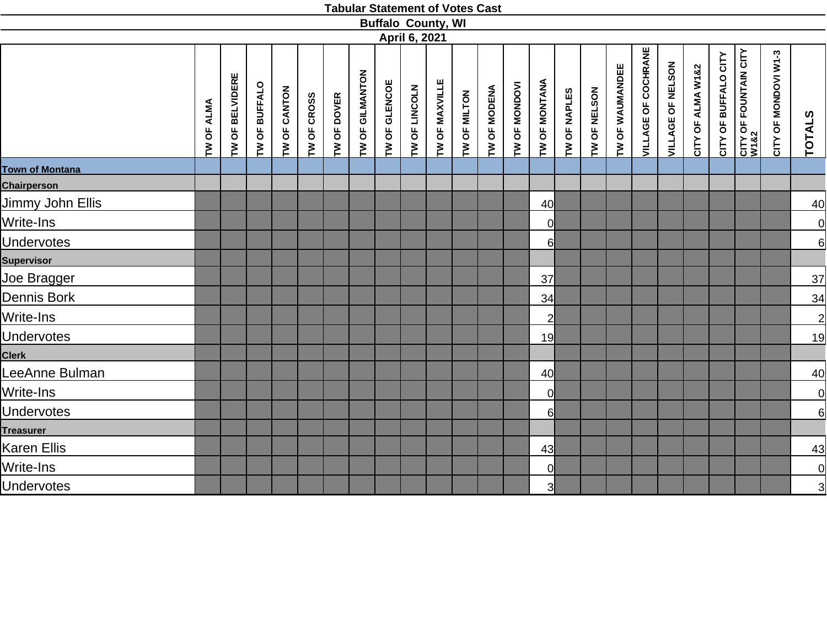|                        |                   |                           |               |              |             |             |                 |               |               | <b>Buffalo County, WI</b> |              |              |               |                |              |              |                 |                            |                   |                   |                      |                               |                      |                 |
|------------------------|-------------------|---------------------------|---------------|--------------|-------------|-------------|-----------------|---------------|---------------|---------------------------|--------------|--------------|---------------|----------------|--------------|--------------|-----------------|----------------------------|-------------------|-------------------|----------------------|-------------------------------|----------------------|-----------------|
|                        |                   |                           |               |              |             |             |                 |               | April 6, 2021 |                           |              |              |               |                |              |              |                 |                            |                   |                   |                      |                               |                      |                 |
|                        | <b>TW OF ALMA</b> | <b>BELVIDERE</b><br>TW OF | TW OF BUFFALO | TW OF CANTON | TW OF CROSS | TW OF DOVER | TW OF GILMANTON | TW OF GLENCOE | TW OF LINCOLN | TW OF MAXVILLE            | TW OF MILTON | TW OF MODENA | TW OF MONDOVI | TW OF MONTANA  | TW OF NAPLES | TW OF NELSON | TW OF WAUMANDEE | <b>VILLAGE OF COCHRANE</b> | VILLAGE OF NELSON | CITY OF ALMA W1&2 | CITY OF BUFFALO CITY | CITY OF FOUNTAIN CITY<br>W1&2 | CITY OF MONDOVI W1-3 | TOTALS          |
| <b>Town of Montana</b> |                   |                           |               |              |             |             |                 |               |               |                           |              |              |               |                |              |              |                 |                            |                   |                   |                      |                               |                      |                 |
| <b>Chairperson</b>     |                   |                           |               |              |             |             |                 |               |               |                           |              |              |               |                |              |              |                 |                            |                   |                   |                      |                               |                      |                 |
| Jimmy John Ellis       |                   |                           |               |              |             |             |                 |               |               |                           |              |              |               | 40             |              |              |                 |                            |                   |                   |                      |                               |                      | 40              |
| Write-Ins              |                   |                           |               |              |             |             |                 |               |               |                           |              |              |               | $\overline{0}$ |              |              |                 |                            |                   |                   |                      |                               |                      | $\frac{1}{6}$   |
| <b>Undervotes</b>      |                   |                           |               |              |             |             |                 |               |               |                           |              |              |               | $6 \mid$       |              |              |                 |                            |                   |                   |                      |                               |                      |                 |
| <b>Supervisor</b>      |                   |                           |               |              |             |             |                 |               |               |                           |              |              |               |                |              |              |                 |                            |                   |                   |                      |                               |                      |                 |
| Joe Bragger            |                   |                           |               |              |             |             |                 |               |               |                           |              |              |               | 37             |              |              |                 |                            |                   |                   |                      |                               |                      | $\overline{37}$ |
| Dennis Bork            |                   |                           |               |              |             |             |                 |               |               |                           |              |              |               | 34             |              |              |                 |                            |                   |                   |                      |                               |                      | $\overline{34}$ |
| Write-Ins              |                   |                           |               |              |             |             |                 |               |               |                           |              |              |               | $\overline{2}$ |              |              |                 |                            |                   |                   |                      |                               |                      | $\overline{2}$  |
| <b>Undervotes</b>      |                   |                           |               |              |             |             |                 |               |               |                           |              |              |               | 19             |              |              |                 |                            |                   |                   |                      |                               |                      | <u>19</u>       |
| <b>Clerk</b>           |                   |                           |               |              |             |             |                 |               |               |                           |              |              |               |                |              |              |                 |                            |                   |                   |                      |                               |                      |                 |
| LeeAnne Bulman         |                   |                           |               |              |             |             |                 |               |               |                           |              |              |               | 40             |              |              |                 |                            |                   |                   |                      |                               |                      | 40              |
| Write-Ins              |                   |                           |               |              |             |             |                 |               |               |                           |              |              |               | <sup>ol</sup>  |              |              |                 |                            |                   |                   |                      |                               |                      |                 |
| Undervotes             |                   |                           |               |              |             |             |                 |               |               |                           |              |              |               | $6 \mid$       |              |              |                 |                            |                   |                   |                      |                               |                      | $\frac{1}{6}$   |
| <b>Treasurer</b>       |                   |                           |               |              |             |             |                 |               |               |                           |              |              |               |                |              |              |                 |                            |                   |                   |                      |                               |                      |                 |
| Karen Ellis            |                   |                           |               |              |             |             |                 |               |               |                           |              |              |               | 43             |              |              |                 |                            |                   |                   |                      |                               |                      | 43              |
| Write-Ins              |                   |                           |               |              |             |             |                 |               |               |                           |              |              |               | $\overline{0}$ |              |              |                 |                            |                   |                   |                      |                               |                      |                 |
| <b>Undervotes</b>      |                   |                           |               |              |             |             |                 |               |               |                           |              |              |               | 3 <sup>1</sup> |              |              |                 |                            |                   |                   |                      |                               |                      | $\frac{1}{3}$   |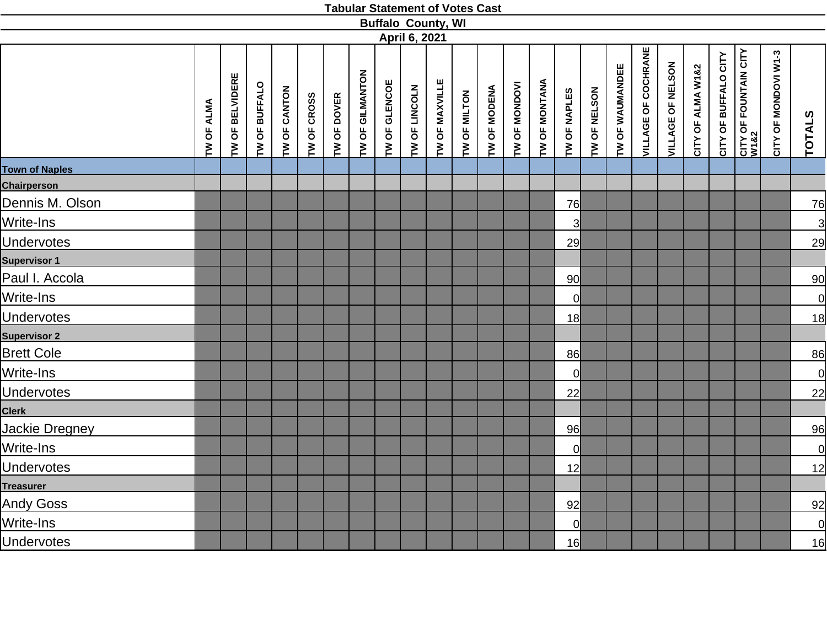|                       |            |                 |               |              |             |             |                 |               |               | <b>Buffalo County, WI</b> |              |                     |               |               |                |              |                 |                            |                   |                   |                      |                                           |                      |                 |
|-----------------------|------------|-----------------|---------------|--------------|-------------|-------------|-----------------|---------------|---------------|---------------------------|--------------|---------------------|---------------|---------------|----------------|--------------|-----------------|----------------------------|-------------------|-------------------|----------------------|-------------------------------------------|----------------------|-----------------|
|                       |            |                 |               |              |             |             |                 |               | April 6, 2021 |                           |              |                     |               |               |                |              |                 |                            |                   |                   |                      |                                           |                      |                 |
|                       | TW OF ALMA | TW OF BELVIDERE | TW OF BUFFALO | TW OF CANTON | TW OF CROSS | TW OF DOVER | TW OF GILMANTON | TW OF GLENCOE | TW OF LINCOLN | TW OF MAXVILLE            | TW OF MILTON | <b>TW OF MODENA</b> | TW OF MONDOVI | TW OF MONTANA | TW OF NAPLES   | TW OF NELSON | TW OF WAUMANDEE | <b>VILLAGE OF COCHRANE</b> | VILLAGE OF NELSON | CITY OF ALMA W1&2 | CITY OF BUFFALO CITY | <b>CITY OF FOUNTAIN CITY<br/>W1&amp;2</b> | CITY OF MONDOVI W1-3 | <b>TOTALS</b>   |
| <b>Town of Naples</b> |            |                 |               |              |             |             |                 |               |               |                           |              |                     |               |               |                |              |                 |                            |                   |                   |                      |                                           |                      |                 |
| <b>Chairperson</b>    |            |                 |               |              |             |             |                 |               |               |                           |              |                     |               |               |                |              |                 |                            |                   |                   |                      |                                           |                      |                 |
| Dennis M. Olson       |            |                 |               |              |             |             |                 |               |               |                           |              |                     |               |               | 76             |              |                 |                            |                   |                   |                      |                                           |                      | <u>76</u>       |
| Write-Ins             |            |                 |               |              |             |             |                 |               |               |                           |              |                     |               |               | $\overline{3}$ |              |                 |                            |                   |                   |                      |                                           |                      | $\overline{3}$  |
| <b>Undervotes</b>     |            |                 |               |              |             |             |                 |               |               |                           |              |                     |               |               | 29             |              |                 |                            |                   |                   |                      |                                           |                      | <u>29</u>       |
| <b>Supervisor 1</b>   |            |                 |               |              |             |             |                 |               |               |                           |              |                     |               |               |                |              |                 |                            |                   |                   |                      |                                           |                      |                 |
| Paul I. Accola        |            |                 |               |              |             |             |                 |               |               |                           |              |                     |               |               | 90             |              |                 |                            |                   |                   |                      |                                           |                      | 90              |
| Write-Ins             |            |                 |               |              |             |             |                 |               |               |                           |              |                     |               |               | 0l             |              |                 |                            |                   |                   |                      |                                           |                      | 0               |
| <b>Undervotes</b>     |            |                 |               |              |             |             |                 |               |               |                           |              |                     |               |               | 18             |              |                 |                            |                   |                   |                      |                                           |                      | 18              |
| <b>Supervisor 2</b>   |            |                 |               |              |             |             |                 |               |               |                           |              |                     |               |               |                |              |                 |                            |                   |                   |                      |                                           |                      |                 |
| <b>Brett Cole</b>     |            |                 |               |              |             |             |                 |               |               |                           |              |                     |               |               | 86             |              |                 |                            |                   |                   |                      |                                           |                      | 86              |
| Write-Ins             |            |                 |               |              |             |             |                 |               |               |                           |              |                     |               |               | 0l             |              |                 |                            |                   |                   |                      |                                           |                      | 0               |
| <b>Undervotes</b>     |            |                 |               |              |             |             |                 |               |               |                           |              |                     |               |               | 22             |              |                 |                            |                   |                   |                      |                                           |                      | $\overline{22}$ |
| <b>Clerk</b>          |            |                 |               |              |             |             |                 |               |               |                           |              |                     |               |               |                |              |                 |                            |                   |                   |                      |                                           |                      |                 |
| <b>Jackie Dregney</b> |            |                 |               |              |             |             |                 |               |               |                           |              |                     |               |               | 96             |              |                 |                            |                   |                   |                      |                                           |                      | 96              |
| Write-Ins             |            |                 |               |              |             |             |                 |               |               |                           |              |                     |               |               | $\overline{0}$ |              |                 |                            |                   |                   |                      |                                           |                      | 0               |
| <b>Undervotes</b>     |            |                 |               |              |             |             |                 |               |               |                           |              |                     |               |               | 12             |              |                 |                            |                   |                   |                      |                                           |                      | 12              |
| <b>Treasurer</b>      |            |                 |               |              |             |             |                 |               |               |                           |              |                     |               |               |                |              |                 |                            |                   |                   |                      |                                           |                      |                 |
| <b>Andy Goss</b>      |            |                 |               |              |             |             |                 |               |               |                           |              |                     |               |               | 92             |              |                 |                            |                   |                   |                      |                                           |                      | 92              |
| Write-Ins             |            |                 |               |              |             |             |                 |               |               |                           |              |                     |               |               | $\overline{0}$ |              |                 |                            |                   |                   |                      |                                           |                      | $\overline{0}$  |
| <b>Undervotes</b>     |            |                 |               |              |             |             |                 |               |               |                           |              |                     |               |               | 16             |              |                 |                            |                   |                   |                      |                                           |                      | 16              |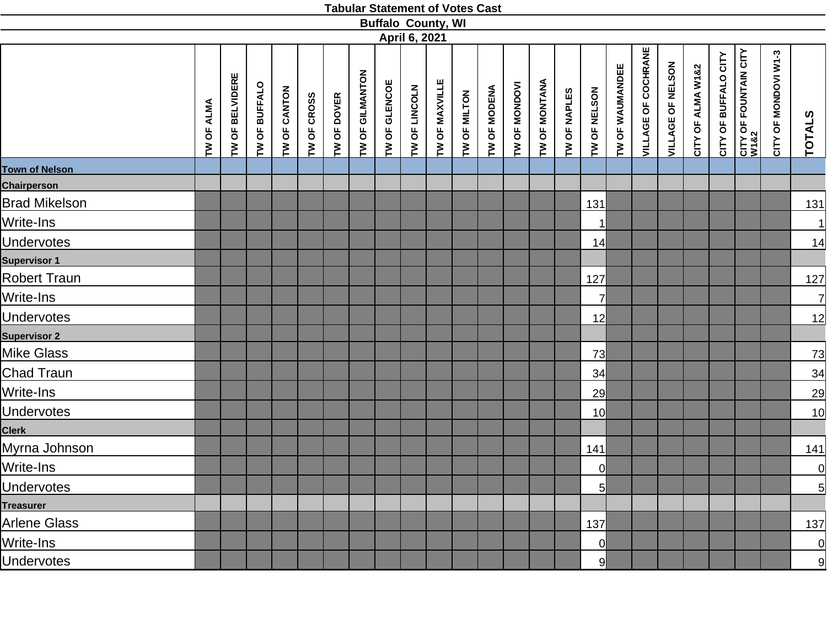|                       |            |                           |               |              |             |             |                 |               |               | <b>Buffalo County, WI</b> |              |              |               |               |              |                 |                 |                            |                   |                   |                      |                               |                      |                 |
|-----------------------|------------|---------------------------|---------------|--------------|-------------|-------------|-----------------|---------------|---------------|---------------------------|--------------|--------------|---------------|---------------|--------------|-----------------|-----------------|----------------------------|-------------------|-------------------|----------------------|-------------------------------|----------------------|-----------------|
|                       |            |                           |               |              |             |             |                 |               | April 6, 2021 |                           |              |              |               |               |              |                 |                 |                            |                   |                   |                      |                               |                      |                 |
|                       | TW OF ALMA | <b>BELVIDERE</b><br>TW OF | TW OF BUFFALO | TW OF CANTON | TW OF CROSS | TW OF DOVER | TW OF GILMANTON | TW OF GLENCOE | TW OF LINCOLN | TW OF MAXVILLE            | TW OF MILTON | TW OF MODENA | TW OF MONDOVI | TW OF MONTANA | TW OF NAPLES | TW OF NELSON    | TW OF WAUMANDEE | <b>VILLAGE OF COCHRANE</b> | VILLAGE OF NELSON | CITY OF ALMA W1&2 | CITY OF BUFFALO CITY | CITY OF FOUNTAIN CITY<br>W1&2 | CITY OF MONDOVI W1-3 | TOTALS          |
| <b>Town of Nelson</b> |            |                           |               |              |             |             |                 |               |               |                           |              |              |               |               |              |                 |                 |                            |                   |                   |                      |                               |                      |                 |
| <b>Chairperson</b>    |            |                           |               |              |             |             |                 |               |               |                           |              |              |               |               |              |                 |                 |                            |                   |                   |                      |                               |                      |                 |
| <b>Brad Mikelson</b>  |            |                           |               |              |             |             |                 |               |               |                           |              |              |               |               |              | 131             |                 |                            |                   |                   |                      |                               |                      | 131             |
| Write-Ins             |            |                           |               |              |             |             |                 |               |               |                           |              |              |               |               |              | $\mathbf{1}$    |                 |                            |                   |                   |                      |                               |                      | $\overline{1}$  |
| <b>Undervotes</b>     |            |                           |               |              |             |             |                 |               |               |                           |              |              |               |               |              | 14              |                 |                            |                   |                   |                      |                               |                      | 14              |
| <b>Supervisor 1</b>   |            |                           |               |              |             |             |                 |               |               |                           |              |              |               |               |              |                 |                 |                            |                   |                   |                      |                               |                      |                 |
| <b>Robert Traun</b>   |            |                           |               |              |             |             |                 |               |               |                           |              |              |               |               |              | 127             |                 |                            |                   |                   |                      |                               |                      | 127             |
| Write-Ins             |            |                           |               |              |             |             |                 |               |               |                           |              |              |               |               |              | $\overline{7}$  |                 |                            |                   |                   |                      |                               |                      | 긔               |
| <b>Undervotes</b>     |            |                           |               |              |             |             |                 |               |               |                           |              |              |               |               |              | 12              |                 |                            |                   |                   |                      |                               |                      | 12              |
| <b>Supervisor 2</b>   |            |                           |               |              |             |             |                 |               |               |                           |              |              |               |               |              |                 |                 |                            |                   |                   |                      |                               |                      |                 |
| Mike Glass            |            |                           |               |              |             |             |                 |               |               |                           |              |              |               |               |              | 73              |                 |                            |                   |                   |                      |                               |                      | 73              |
| Chad Traun            |            |                           |               |              |             |             |                 |               |               |                           |              |              |               |               |              | 34              |                 |                            |                   |                   |                      |                               |                      | $\overline{34}$ |
| Write-Ins             |            |                           |               |              |             |             |                 |               |               |                           |              |              |               |               |              | 29              |                 |                            |                   |                   |                      |                               |                      | 29              |
| <b>Undervotes</b>     |            |                           |               |              |             |             |                 |               |               |                           |              |              |               |               |              | 10 <sup>l</sup> |                 |                            |                   |                   |                      |                               |                      | 10              |
| <b>Clerk</b>          |            |                           |               |              |             |             |                 |               |               |                           |              |              |               |               |              |                 |                 |                            |                   |                   |                      |                               |                      |                 |
| Myrna Johnson         |            |                           |               |              |             |             |                 |               |               |                           |              |              |               |               |              | 141             |                 |                            |                   |                   |                      |                               |                      | 141             |
| Write-Ins             |            |                           |               |              |             |             |                 |               |               |                           |              |              |               |               |              | 0               |                 |                            |                   |                   |                      |                               |                      |                 |
| <b>Undervotes</b>     |            |                           |               |              |             |             |                 |               |               |                           |              |              |               |               |              | 5               |                 |                            |                   |                   |                      |                               |                      | $\frac{1}{5}$   |
| <b>Treasurer</b>      |            |                           |               |              |             |             |                 |               |               |                           |              |              |               |               |              |                 |                 |                            |                   |                   |                      |                               |                      |                 |
| Arlene Glass          |            |                           |               |              |             |             |                 |               |               |                           |              |              |               |               |              | 137             |                 |                            |                   |                   |                      |                               |                      | 137             |
| Write-Ins             |            |                           |               |              |             |             |                 |               |               |                           |              |              |               |               |              | $\overline{0}$  |                 |                            |                   |                   |                      |                               |                      | <u>이</u>        |
| <b>Undervotes</b>     |            |                           |               |              |             |             |                 |               |               |                           |              |              |               |               |              | 9               |                 |                            |                   |                   |                      |                               |                      | 9               |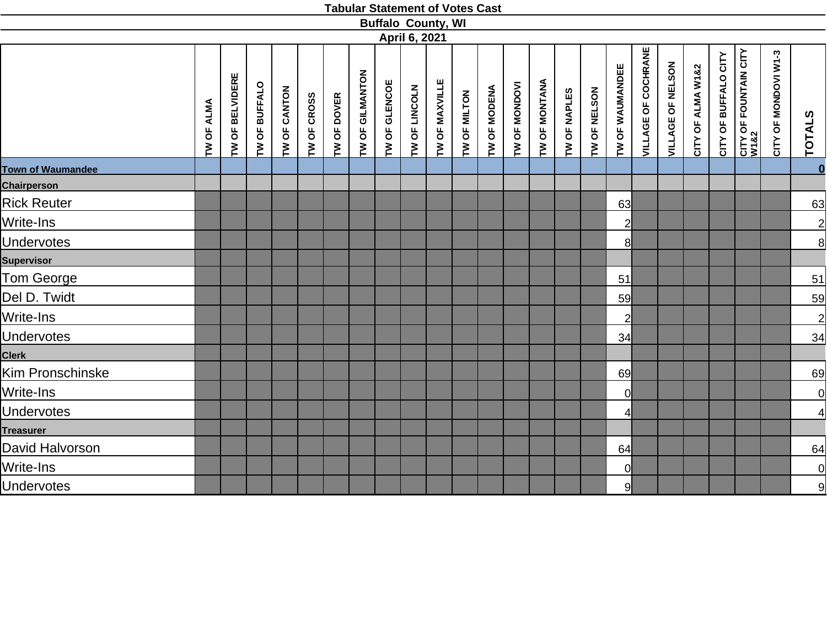|                          |                   |                           |               |              |             |             |                 |               |               | <b>Buffalo County, WI</b> |              |              |               |               |              |              |                 |                            |                   |                   |                      |                               |                      |                                         |
|--------------------------|-------------------|---------------------------|---------------|--------------|-------------|-------------|-----------------|---------------|---------------|---------------------------|--------------|--------------|---------------|---------------|--------------|--------------|-----------------|----------------------------|-------------------|-------------------|----------------------|-------------------------------|----------------------|-----------------------------------------|
|                          |                   |                           |               |              |             |             |                 |               | April 6, 2021 |                           |              |              |               |               |              |              |                 |                            |                   |                   |                      |                               |                      |                                         |
|                          | <b>TW OF ALMA</b> | <b>BELVIDERE</b><br>TW OF | TW OF BUFFALO | TW OF CANTON | TW OF CROSS | TW OF DOVER | TW OF GILMANTON | TW OF GLENCOE | TW OF LINCOLN | TW OF MAXVILLE            | TW OF MILTON | TW OF MODENA | TW OF MONDOVI | TW OF MONTANA | TW OF NAPLES | TW OF NELSON | TW OF WAUMANDEE | <b>VILLAGE OF COCHRANE</b> | VILLAGE OF NELSON | CITY OF ALMA W1&2 | CITY OF BUFFALO CITY | CITY OF FOUNTAIN CITY<br>W1&2 | CITY OF MONDOVI W1-3 | TOTALS                                  |
| <b>Town of Waumandee</b> |                   |                           |               |              |             |             |                 |               |               |                           |              |              |               |               |              |              |                 |                            |                   |                   |                      |                               |                      | $\overline{\mathbf{0}}$                 |
| <b>Chairperson</b>       |                   |                           |               |              |             |             |                 |               |               |                           |              |              |               |               |              |              |                 |                            |                   |                   |                      |                               |                      |                                         |
| <b>Rick Reuter</b>       |                   |                           |               |              |             |             |                 |               |               |                           |              |              |               |               |              |              | 63              |                            |                   |                   |                      |                               |                      | 63                                      |
| Write-Ins                |                   |                           |               |              |             |             |                 |               |               |                           |              |              |               |               |              |              | $\overline{2}$  |                            |                   |                   |                      |                               |                      |                                         |
| <b>Undervotes</b>        |                   |                           |               |              |             |             |                 |               |               |                           |              |              |               |               |              |              | 8 <sup>1</sup>  |                            |                   |                   |                      |                               |                      | $\frac{2}{8}$                           |
| <b>Supervisor</b>        |                   |                           |               |              |             |             |                 |               |               |                           |              |              |               |               |              |              |                 |                            |                   |                   |                      |                               |                      |                                         |
| Tom George               |                   |                           |               |              |             |             |                 |               |               |                           |              |              |               |               |              |              | 51              |                            |                   |                   |                      |                               |                      | 51                                      |
| Del D. Twidt             |                   |                           |               |              |             |             |                 |               |               |                           |              |              |               |               |              |              | 59              |                            |                   |                   |                      |                               |                      | 59                                      |
| Write-Ins                |                   |                           |               |              |             |             |                 |               |               |                           |              |              |               |               |              |              | $\overline{2}$  |                            |                   |                   |                      |                               |                      | $\overline{2}$                          |
| <b>Undervotes</b>        |                   |                           |               |              |             |             |                 |               |               |                           |              |              |               |               |              |              | 34              |                            |                   |                   |                      |                               |                      | 34                                      |
| <b>Clerk</b>             |                   |                           |               |              |             |             |                 |               |               |                           |              |              |               |               |              |              |                 |                            |                   |                   |                      |                               |                      |                                         |
| Kim Pronschinske         |                   |                           |               |              |             |             |                 |               |               |                           |              |              |               |               |              |              | 69              |                            |                   |                   |                      |                               |                      | 69                                      |
| Write-Ins                |                   |                           |               |              |             |             |                 |               |               |                           |              |              |               |               |              |              | 0l              |                            |                   |                   |                      |                               |                      |                                         |
| Undervotes               |                   |                           |               |              |             |             |                 |               |               |                           |              |              |               |               |              |              | $\overline{4}$  |                            |                   |                   |                      |                               |                      | $\begin{array}{c}\n0 \\ 4\n\end{array}$ |
| <b>Treasurer</b>         |                   |                           |               |              |             |             |                 |               |               |                           |              |              |               |               |              |              |                 |                            |                   |                   |                      |                               |                      |                                         |
| David Halvorson          |                   |                           |               |              |             |             |                 |               |               |                           |              |              |               |               |              |              | 64              |                            |                   |                   |                      |                               |                      | 64                                      |
| Write-Ins                |                   |                           |               |              |             |             |                 |               |               |                           |              |              |               |               |              |              | $\overline{0}$  |                            |                   |                   |                      |                               |                      | $\frac{1}{9}$                           |
| <b>Undervotes</b>        |                   |                           |               |              |             |             |                 |               |               |                           |              |              |               |               |              |              | 9               |                            |                   |                   |                      |                               |                      |                                         |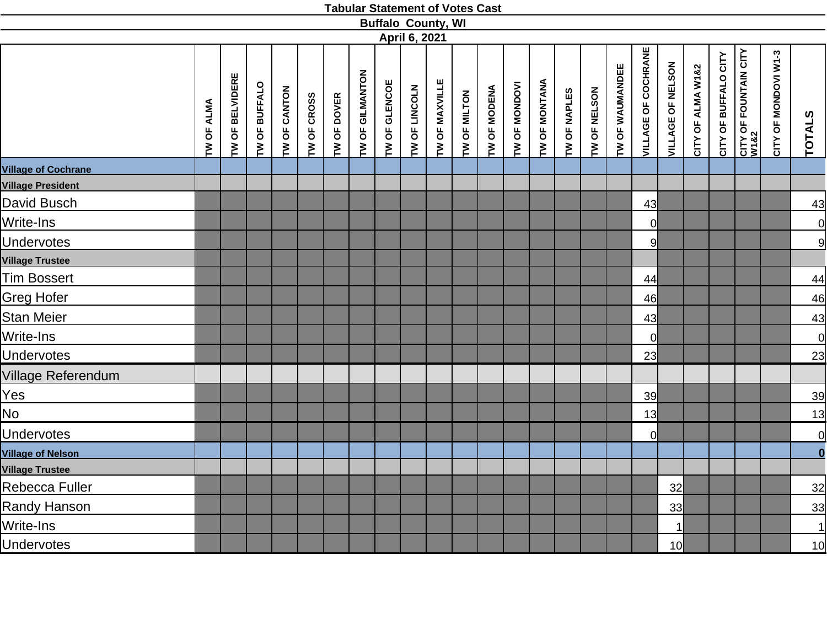|                            |            |                 |               |              |             |             |                 |               |               | <b>Buffalo County, WI</b> |              |              |               |               |              |              |                 |                     |                   |                   |                      |                                       |                      |                                           |
|----------------------------|------------|-----------------|---------------|--------------|-------------|-------------|-----------------|---------------|---------------|---------------------------|--------------|--------------|---------------|---------------|--------------|--------------|-----------------|---------------------|-------------------|-------------------|----------------------|---------------------------------------|----------------------|-------------------------------------------|
|                            |            |                 |               |              |             |             |                 |               | April 6, 2021 |                           |              |              |               |               |              |              |                 |                     |                   |                   |                      |                                       |                      |                                           |
|                            | TW OF ALMA | TW OF BELVIDERE | TW OF BUFFALO | TW OF CANTON | TW OF CROSS | TW OF DOVER | TW OF GILMANTON | TW OF GLENCOE | TW OF LINCOLN | TW OF MAXVILLE            | TW OF MILTON | TW OF MODENA | TW OF MONDOVI | TW OF MONTANA | TW OF NAPLES | TW OF NELSON | TW OF WAUMANDEE | VILLAGE OF COCHRANE | VILLAGE OF NELSON | CITY OF ALMA W1&2 | CITY OF BUFFALO CITY | <b>CITY OF FOUNTAIN CITY<br/>W182</b> | CITY OF MONDOVI W1-3 | <b>TOTALS</b><br>$\overline{\phantom{a}}$ |
| <b>Village of Cochrane</b> |            |                 |               |              |             |             |                 |               |               |                           |              |              |               |               |              |              |                 |                     |                   |                   |                      |                                       |                      |                                           |
| <b>Village President</b>   |            |                 |               |              |             |             |                 |               |               |                           |              |              |               |               |              |              |                 |                     |                   |                   |                      |                                       |                      |                                           |
| David Busch                |            |                 |               |              |             |             |                 |               |               |                           |              |              |               |               |              |              |                 | 43                  |                   |                   |                      |                                       |                      | 43                                        |
| Write-Ins                  |            |                 |               |              |             |             |                 |               |               |                           |              |              |               |               |              |              |                 | $\overline{0}$      |                   |                   |                      |                                       |                      | <u>이</u>                                  |
| <b>Undervotes</b>          |            |                 |               |              |             |             |                 |               |               |                           |              |              |               |               |              |              |                 | 9                   |                   |                   |                      |                                       |                      | $\mathsf{g}$                              |
| <b>Village Trustee</b>     |            |                 |               |              |             |             |                 |               |               |                           |              |              |               |               |              |              |                 |                     |                   |                   |                      |                                       |                      |                                           |
| <b>Tim Bossert</b>         |            |                 |               |              |             |             |                 |               |               |                           |              |              |               |               |              |              |                 | 44                  |                   |                   |                      |                                       |                      | 44                                        |
| <b>Greg Hofer</b>          |            |                 |               |              |             |             |                 |               |               |                           |              |              |               |               |              |              |                 | 46                  |                   |                   |                      |                                       |                      | 46                                        |
| <b>Stan Meier</b>          |            |                 |               |              |             |             |                 |               |               |                           |              |              |               |               |              |              |                 | 43                  |                   |                   |                      |                                       |                      | 43                                        |
| Write-Ins                  |            |                 |               |              |             |             |                 |               |               |                           |              |              |               |               |              |              |                 | $\overline{0}$      |                   |                   |                      |                                       |                      | 0                                         |
| <b>Undervotes</b>          |            |                 |               |              |             |             |                 |               |               |                           |              |              |               |               |              |              |                 | 23                  |                   |                   |                      |                                       |                      | 23                                        |
| Village Referendum         |            |                 |               |              |             |             |                 |               |               |                           |              |              |               |               |              |              |                 |                     |                   |                   |                      |                                       |                      |                                           |
| Yes                        |            |                 |               |              |             |             |                 |               |               |                           |              |              |               |               |              |              |                 | 39                  |                   |                   |                      |                                       |                      | 39                                        |
| No                         |            |                 |               |              |             |             |                 |               |               |                           |              |              |               |               |              |              |                 | 13                  |                   |                   |                      |                                       |                      | 13                                        |
| <b>Undervotes</b>          |            |                 |               |              |             |             |                 |               |               |                           |              |              |               |               |              |              |                 | <sub>0</sub>        |                   |                   |                      |                                       |                      | <u>이</u>                                  |
| <b>Village of Nelson</b>   |            |                 |               |              |             |             |                 |               |               |                           |              |              |               |               |              |              |                 |                     |                   |                   |                      |                                       |                      | $\overline{\mathbf{0}}$                   |
| <b>Village Trustee</b>     |            |                 |               |              |             |             |                 |               |               |                           |              |              |               |               |              |              |                 |                     |                   |                   |                      |                                       |                      |                                           |
| Rebecca Fuller             |            |                 |               |              |             |             |                 |               |               |                           |              |              |               |               |              |              |                 |                     | 32                |                   |                      |                                       |                      | 32                                        |
| <b>Randy Hanson</b>        |            |                 |               |              |             |             |                 |               |               |                           |              |              |               |               |              |              |                 |                     | 33                |                   |                      |                                       |                      | 33                                        |
| Write-Ins                  |            |                 |               |              |             |             |                 |               |               |                           |              |              |               |               |              |              |                 |                     | 1                 |                   |                      |                                       |                      | 1                                         |
| <b>Undervotes</b>          |            |                 |               |              |             |             |                 |               |               |                           |              |              |               |               |              |              |                 |                     | 10 <sup>l</sup>   |                   |                      |                                       |                      | 10                                        |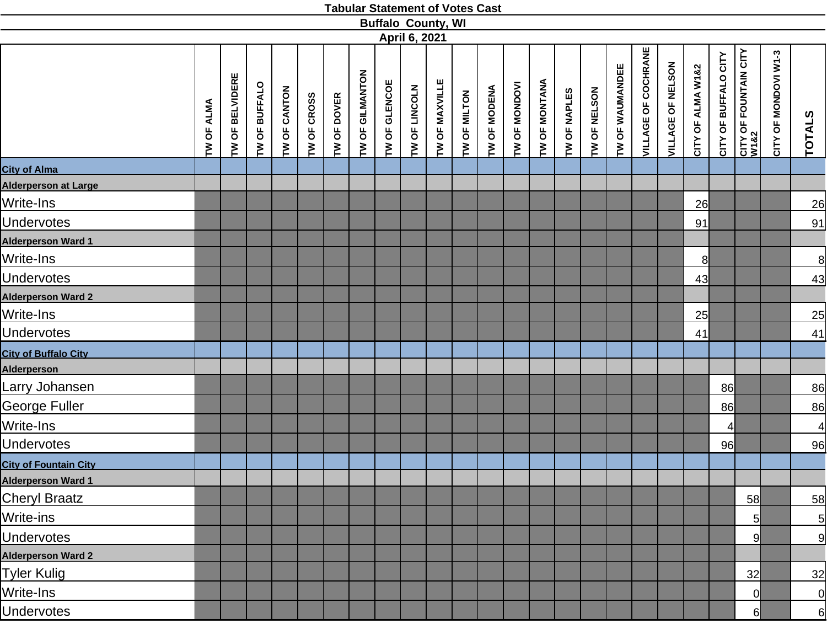|                              |            |                 |               |              |             |             |                 |               |               | <b>Buffalo County, WI</b> |              |              |               |                      |              |              |                 |                            |                   |                   |                      |                                       |                      |                |
|------------------------------|------------|-----------------|---------------|--------------|-------------|-------------|-----------------|---------------|---------------|---------------------------|--------------|--------------|---------------|----------------------|--------------|--------------|-----------------|----------------------------|-------------------|-------------------|----------------------|---------------------------------------|----------------------|----------------|
|                              |            |                 |               |              |             |             |                 |               | April 6, 2021 |                           |              |              |               |                      |              |              |                 |                            |                   |                   |                      |                                       |                      |                |
|                              | TW OF ALMA | TW OF BELVIDERE | TW OF BUFFALO | TW OF CANTON | TW OF CROSS | TW OF DOVER | TW OF GILMANTON | TW OF GLENCOE | TW OF LINCOLN | TW OF MAXVILLE            | TW OF MILTON | TW OF MODENA | TW OF MONDOVI | <b>TW OF MONTANA</b> | TW OF NAPLES | TW OF NELSON | TW OF WAUMANDEE | <b>VILLAGE OF COCHRANE</b> | VILLAGE OF NELSON | CITY OF ALMA W1&2 | CITY OF BUFFALO CITY | <b>CITY OF FOUNTAIN CITY<br/>W182</b> | CITY OF MONDOVI W1-3 | <b>TOTALS</b>  |
| <b>City of Alma</b>          |            |                 |               |              |             |             |                 |               |               |                           |              |              |               |                      |              |              |                 |                            |                   |                   |                      |                                       |                      |                |
| <b>Alderperson at Large</b>  |            |                 |               |              |             |             |                 |               |               |                           |              |              |               |                      |              |              |                 |                            |                   |                   |                      |                                       |                      |                |
| Write-Ins                    |            |                 |               |              |             |             |                 |               |               |                           |              |              |               |                      |              |              |                 |                            |                   | 26                |                      |                                       |                      | 26             |
| <b>Undervotes</b>            |            |                 |               |              |             |             |                 |               |               |                           |              |              |               |                      |              |              |                 |                            |                   | 91                |                      |                                       |                      | 91             |
| <b>Alderperson Ward 1</b>    |            |                 |               |              |             |             |                 |               |               |                           |              |              |               |                      |              |              |                 |                            |                   |                   |                      |                                       |                      |                |
| Write-Ins                    |            |                 |               |              |             |             |                 |               |               |                           |              |              |               |                      |              |              |                 |                            |                   | 8                 |                      |                                       |                      | $\overline{8}$ |
| <b>Undervotes</b>            |            |                 |               |              |             |             |                 |               |               |                           |              |              |               |                      |              |              |                 |                            |                   | 43                |                      |                                       |                      | 43             |
| <b>Alderperson Ward 2</b>    |            |                 |               |              |             |             |                 |               |               |                           |              |              |               |                      |              |              |                 |                            |                   |                   |                      |                                       |                      |                |
| Write-Ins                    |            |                 |               |              |             |             |                 |               |               |                           |              |              |               |                      |              |              |                 |                            |                   | 25                |                      |                                       |                      | 25             |
| <b>Undervotes</b>            |            |                 |               |              |             |             |                 |               |               |                           |              |              |               |                      |              |              |                 |                            |                   | 41                |                      |                                       |                      | 41             |
| <b>City of Buffalo City</b>  |            |                 |               |              |             |             |                 |               |               |                           |              |              |               |                      |              |              |                 |                            |                   |                   |                      |                                       |                      |                |
| <b>Alderperson</b>           |            |                 |               |              |             |             |                 |               |               |                           |              |              |               |                      |              |              |                 |                            |                   |                   |                      |                                       |                      |                |
| Larry Johansen               |            |                 |               |              |             |             |                 |               |               |                           |              |              |               |                      |              |              |                 |                            |                   |                   | 86                   |                                       |                      | 86             |
| George Fuller                |            |                 |               |              |             |             |                 |               |               |                           |              |              |               |                      |              |              |                 |                            |                   |                   | 86                   |                                       |                      | 86             |
| Write-Ins                    |            |                 |               |              |             |             |                 |               |               |                           |              |              |               |                      |              |              |                 |                            |                   |                   | $\overline{4}$       |                                       |                      | $\overline{4}$ |
| <b>Undervotes</b>            |            |                 |               |              |             |             |                 |               |               |                           |              |              |               |                      |              |              |                 |                            |                   |                   | 96                   |                                       |                      | 96             |
| <b>City of Fountain City</b> |            |                 |               |              |             |             |                 |               |               |                           |              |              |               |                      |              |              |                 |                            |                   |                   |                      |                                       |                      |                |
| <b>Alderperson Ward 1</b>    |            |                 |               |              |             |             |                 |               |               |                           |              |              |               |                      |              |              |                 |                            |                   |                   |                      |                                       |                      |                |
| <b>Cheryl Braatz</b>         |            |                 |               |              |             |             |                 |               |               |                           |              |              |               |                      |              |              |                 |                            |                   |                   |                      | 58                                    |                      | 58             |
| Write-ins                    |            |                 |               |              |             |             |                 |               |               |                           |              |              |               |                      |              |              |                 |                            |                   |                   |                      | $5\overline{)}$                       |                      | $\overline{5}$ |
| <b>Undervotes</b>            |            |                 |               |              |             |             |                 |               |               |                           |              |              |               |                      |              |              |                 |                            |                   |                   |                      | 9                                     |                      | 9              |
| <b>Alderperson Ward 2</b>    |            |                 |               |              |             |             |                 |               |               |                           |              |              |               |                      |              |              |                 |                            |                   |                   |                      |                                       |                      |                |
| Tyler Kulig                  |            |                 |               |              |             |             |                 |               |               |                           |              |              |               |                      |              |              |                 |                            |                   |                   |                      | 32                                    |                      | 32             |
| Write-Ins                    |            |                 |               |              |             |             |                 |               |               |                           |              |              |               |                      |              |              |                 |                            |                   |                   |                      | 0                                     |                      | $\overline{0}$ |
| <b>Undervotes</b>            |            |                 |               |              |             |             |                 |               |               |                           |              |              |               |                      |              |              |                 |                            |                   |                   |                      | 6                                     |                      | 6              |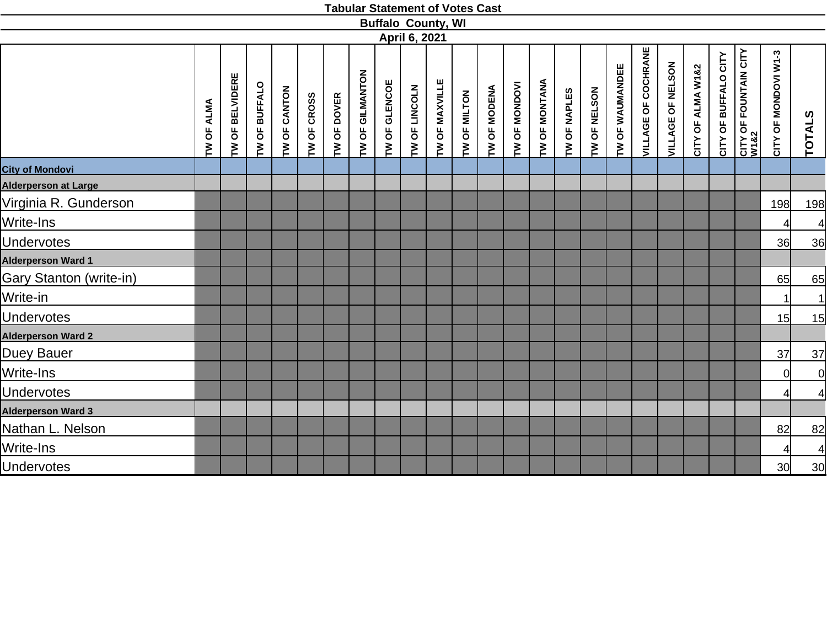|                                |            |                 |               |              |             |             |                 |               |               | <b>Buffalo County, WI</b> |              |              |               |                      |              |              |                 |                            |                   |                   |                      |                                       |                      |                                         |
|--------------------------------|------------|-----------------|---------------|--------------|-------------|-------------|-----------------|---------------|---------------|---------------------------|--------------|--------------|---------------|----------------------|--------------|--------------|-----------------|----------------------------|-------------------|-------------------|----------------------|---------------------------------------|----------------------|-----------------------------------------|
|                                |            |                 |               |              |             |             |                 |               | April 6, 2021 |                           |              |              |               |                      |              |              |                 |                            |                   |                   |                      |                                       |                      |                                         |
|                                | TW OF ALMA | TW OF BELVIDERE | TW OF BUFFALO | TW OF CANTON | TW OF CROSS | TW OF DOVER | TW OF GILMANTON | TW OF GLENCOE | TW OF LINCOLN | TW OF MAXVILLE            | TW OF MILTON | TW OF MODENA | TW OF MONDOVI | <b>TW OF MONTANA</b> | TW OF NAPLES | TW OF NELSON | TW OF WAUMANDEE | <b>VILLAGE OF COCHRANE</b> | VILLAGE OF NELSON | CITY OF ALMA W1&2 | CITY OF BUFFALO CITY | <b>CITY OF FOUNTAIN CITY<br/>W182</b> | CITY OF MONDOVI W1-3 | <b>TOTALS</b>                           |
| <b>City of Mondovi</b>         |            |                 |               |              |             |             |                 |               |               |                           |              |              |               |                      |              |              |                 |                            |                   |                   |                      |                                       |                      |                                         |
| <b>Alderperson at Large</b>    |            |                 |               |              |             |             |                 |               |               |                           |              |              |               |                      |              |              |                 |                            |                   |                   |                      |                                       |                      |                                         |
| Virginia R. Gunderson          |            |                 |               |              |             |             |                 |               |               |                           |              |              |               |                      |              |              |                 |                            |                   |                   |                      |                                       | 198                  | <u>198</u>                              |
| Write-Ins                      |            |                 |               |              |             |             |                 |               |               |                           |              |              |               |                      |              |              |                 |                            |                   |                   |                      |                                       | 4                    | $\overline{4}$                          |
| <b>Undervotes</b>              |            |                 |               |              |             |             |                 |               |               |                           |              |              |               |                      |              |              |                 |                            |                   |                   |                      |                                       | 36                   | 36                                      |
| <b>Alderperson Ward 1</b>      |            |                 |               |              |             |             |                 |               |               |                           |              |              |               |                      |              |              |                 |                            |                   |                   |                      |                                       |                      |                                         |
| <b>Gary Stanton (write-in)</b> |            |                 |               |              |             |             |                 |               |               |                           |              |              |               |                      |              |              |                 |                            |                   |                   |                      |                                       | 65                   | 65                                      |
| Write-in                       |            |                 |               |              |             |             |                 |               |               |                           |              |              |               |                      |              |              |                 |                            |                   |                   |                      |                                       |                      | $\overline{1}$                          |
| <b>Undervotes</b>              |            |                 |               |              |             |             |                 |               |               |                           |              |              |               |                      |              |              |                 |                            |                   |                   |                      |                                       | 15                   | 15                                      |
| <b>Alderperson Ward 2</b>      |            |                 |               |              |             |             |                 |               |               |                           |              |              |               |                      |              |              |                 |                            |                   |                   |                      |                                       |                      |                                         |
| Duey Bauer                     |            |                 |               |              |             |             |                 |               |               |                           |              |              |               |                      |              |              |                 |                            |                   |                   |                      |                                       | 37                   | $\overline{37}$                         |
| Write-Ins                      |            |                 |               |              |             |             |                 |               |               |                           |              |              |               |                      |              |              |                 |                            |                   |                   |                      |                                       | 0                    | $\begin{array}{c}\n0 \\ 4\n\end{array}$ |
| <b>Undervotes</b>              |            |                 |               |              |             |             |                 |               |               |                           |              |              |               |                      |              |              |                 |                            |                   |                   |                      |                                       | 41                   |                                         |
| <b>Alderperson Ward 3</b>      |            |                 |               |              |             |             |                 |               |               |                           |              |              |               |                      |              |              |                 |                            |                   |                   |                      |                                       |                      |                                         |
| Nathan L. Nelson               |            |                 |               |              |             |             |                 |               |               |                           |              |              |               |                      |              |              |                 |                            |                   |                   |                      |                                       | 82                   | 82                                      |
| Write-Ins                      |            |                 |               |              |             |             |                 |               |               |                           |              |              |               |                      |              |              |                 |                            |                   |                   |                      |                                       | 41                   | $\overline{4}$                          |
| <b>Undervotes</b>              |            |                 |               |              |             |             |                 |               |               |                           |              |              |               |                      |              |              |                 |                            |                   |                   |                      |                                       | 30 <sup>l</sup>      | 30                                      |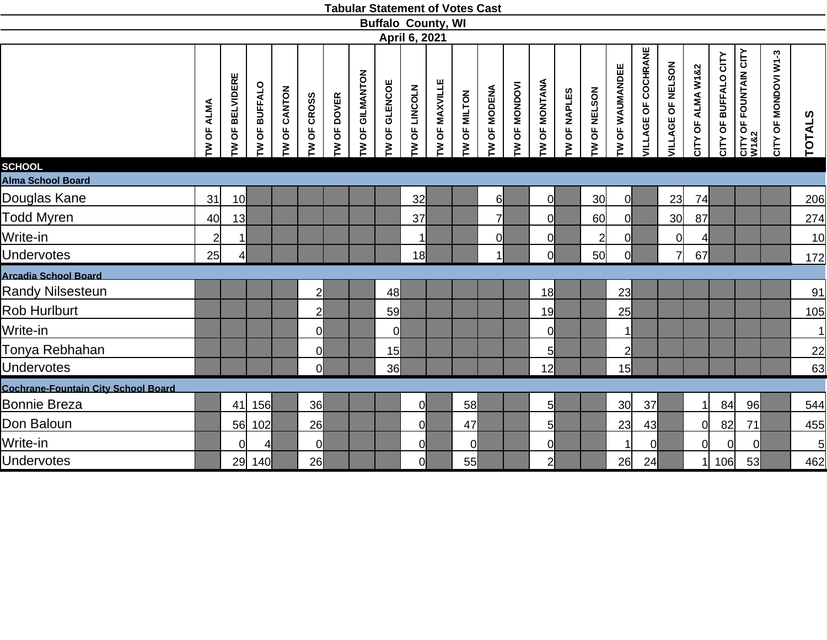|                                            |                |                 |                      |                                        |                |               |                                       | <b>Buffalo County, WI</b> |               |                  |              |              |                 |                 |              |                 |                 |                            |                   |                   |                      |                                       |                      |                 |
|--------------------------------------------|----------------|-----------------|----------------------|----------------------------------------|----------------|---------------|---------------------------------------|---------------------------|---------------|------------------|--------------|--------------|-----------------|-----------------|--------------|-----------------|-----------------|----------------------------|-------------------|-------------------|----------------------|---------------------------------------|----------------------|-----------------|
|                                            |                |                 |                      |                                        |                |               |                                       |                           | April 6, 2021 |                  |              |              |                 |                 |              |                 |                 |                            |                   |                   |                      |                                       |                      |                 |
|                                            | ALMA<br>TW OF  | TW OF BELVIDERE | <b>TW OF BUFFALO</b> | CANTON<br>$\overline{\mathsf{b}}$<br>ξ | TW OF CROSS    | OF DOVER<br>ξ | GILMANTON<br>$\overline{\sigma}$<br>ξ | TW OF GLENCOE             | TW OF LINCOLN | OF MAXVILLE<br>ξ | TW OF MILTON | TW OF MODENA | OF MONDOVI<br>ξ | TW OF MONTANA   | TW OF NAPLES | TW OF NELSON    | TW OF WAUMANDEE | <b>VILLAGE OF COCHRANE</b> | VILLAGE OF NELSON | CITY OF ALMA W1&2 | CITY OF BUFFALO CITY | <b>CITY OF FOUNTAIN CITY<br/>W182</b> | CITY OF MONDOVI W1-3 | TOTALS          |
| <b>SCHOOL</b><br>Alma School Board         |                |                 |                      |                                        |                |               |                                       |                           |               |                  |              |              |                 |                 |              |                 |                 |                            |                   |                   |                      |                                       |                      |                 |
| Douglas Kane                               | 31             | 10 <sup>l</sup> |                      |                                        |                |               |                                       |                           | 32            |                  |              | 6            |                 | 0l              |              | 30 <sup>l</sup> | $\overline{0}$  |                            | 23                | 74                |                      |                                       |                      | 206             |
| <b>Todd Myren</b>                          | 40             | 13              |                      |                                        |                |               |                                       |                           | 37            |                  |              | 7            |                 | 0l              |              | 60              | <sup>o</sup>    |                            | 30 <sub>l</sub>   | 87                |                      |                                       |                      | 274             |
| Write-in                                   | $\overline{2}$ | $\mathbf{1}$    |                      |                                        |                |               |                                       |                           | $\mathbf{1}$  |                  |              | 0            |                 | 0l              |              | $\overline{2}$  | 0l              |                            | $\overline{0}$    | $\overline{4}$    |                      |                                       |                      | 10              |
| <b>Undervotes</b>                          | 25             | 4               |                      |                                        |                |               |                                       |                           | 18            |                  |              | $\mathbf{1}$ |                 | <sup>o</sup>    |              | 50              | 0l              |                            | $\overline{7}$    | 67                |                      |                                       |                      | 172             |
| <b>Arcadia School Board</b>                |                |                 |                      |                                        |                |               |                                       |                           |               |                  |              |              |                 |                 |              |                 |                 |                            |                   |                   |                      |                                       |                      |                 |
| <b>Randy Nilsesteun</b>                    |                |                 |                      |                                        | $\overline{2}$ |               |                                       | 48                        |               |                  |              |              |                 | 18              |              |                 | 23              |                            |                   |                   |                      |                                       |                      | 91              |
| <b>Rob Hurlburt</b>                        |                |                 |                      |                                        | $\overline{2}$ |               |                                       | 59                        |               |                  |              |              |                 | 19              |              |                 | 25              |                            |                   |                   |                      |                                       |                      | 105             |
| Write-in                                   |                |                 |                      |                                        | $\overline{0}$ |               |                                       | $\overline{0}$            |               |                  |              |              |                 | <sup>0</sup>    |              |                 | $\mathbf 1$     |                            |                   |                   |                      |                                       |                      | $\mathbf{1}$    |
| Tonya Rebhahan                             |                |                 |                      |                                        | $\overline{0}$ |               |                                       | 15                        |               |                  |              |              |                 | 5 <sub>l</sub>  |              |                 | $\overline{2}$  |                            |                   |                   |                      |                                       |                      | $\overline{22}$ |
| <b>Undervotes</b>                          |                |                 |                      |                                        | <sub>0</sub>   |               |                                       | 36                        |               |                  |              |              |                 | 12 <sup>1</sup> |              |                 | 15 <sup>l</sup> |                            |                   |                   |                      |                                       |                      | 63              |
| <b>Cochrane-Fountain City School Board</b> |                |                 |                      |                                        |                |               |                                       |                           |               |                  |              |              |                 |                 |              |                 |                 |                            |                   |                   |                      |                                       |                      |                 |
| <b>Bonnie Breza</b>                        |                | 41              | 156                  |                                        | 36             |               |                                       |                           | $\mathbf{0}$  |                  | 58           |              |                 | 5               |              |                 | 30 <sup>l</sup> | 37                         |                   | -1                | 84                   | 96                                    |                      | 544             |
| Don Baloun                                 |                | 56              | 102                  |                                        | 26             |               |                                       |                           | 이             |                  | 47           |              |                 | 5               |              |                 | 23              | 43                         |                   | <sup>0</sup>      | 82                   | 71                                    |                      | 455             |
| Write-in                                   |                | $\Omega$        | 4                    |                                        | $\overline{0}$ |               |                                       |                           | $\mathsf{Q}$  |                  | $\Omega$     |              |                 | $\overline{0}$  |              |                 | -1              | 0l                         |                   | <sup>n</sup>      | $\Omega$             | $\overline{0}$                        |                      | $\overline{5}$  |
| <b>Undervotes</b>                          |                | 29              | 140                  |                                        | 26             |               |                                       |                           | 이             |                  | 55           |              |                 | $2\vert$        |              |                 | 26              | 24                         |                   |                   | 106                  | 53                                    |                      | 462             |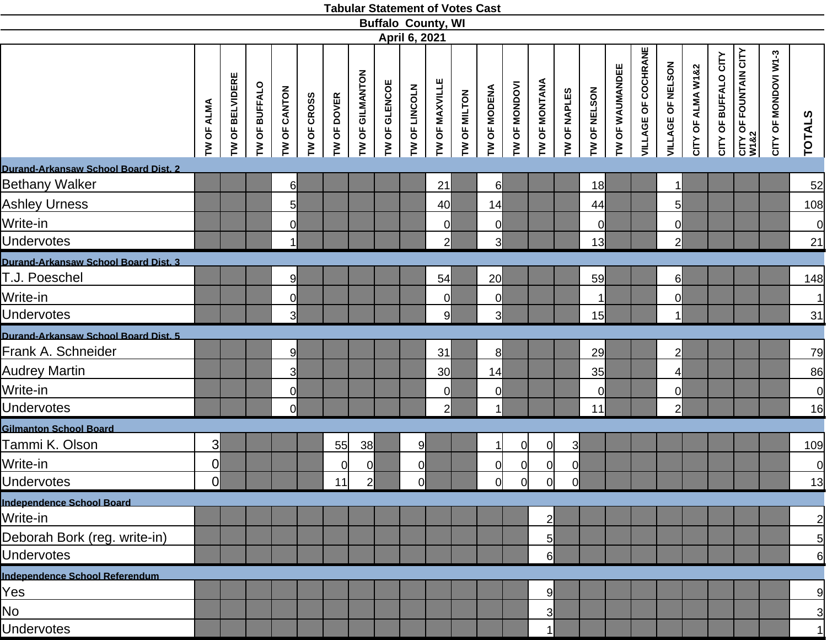|                                      |                         |                                              |               |                |             |              |                 |               |                | <b>Buffalo County, WI</b> |              |                 |                |                      |                         |              |                 |                     |                          |                   |                      |                               |                      |                |
|--------------------------------------|-------------------------|----------------------------------------------|---------------|----------------|-------------|--------------|-----------------|---------------|----------------|---------------------------|--------------|-----------------|----------------|----------------------|-------------------------|--------------|-----------------|---------------------|--------------------------|-------------------|----------------------|-------------------------------|----------------------|----------------|
|                                      |                         |                                              |               |                |             |              |                 |               | April 6, 2021  |                           |              |                 |                |                      |                         |              |                 |                     |                          |                   |                      |                               |                      |                |
|                                      | IW OF ALMA              | <b>BELVIDERE</b><br>$\overline{\sigma}$<br>È | TW OF BUFFALO | TW OF CANTON   | TW OF CROSS | TW OF DOVER  | TW OF GILMANTON | TW OF GLENCOE | TW OF LINCOLN  | TW OF MAXVILLE            | TW OF MILTON | TW OF MODENA    | TW OF MONDOVI  | <b>TW OF MONTANA</b> | TW OF NAPLES            | TW OF NELSON | TW OF WAUMANDEE | VILLAGE OF COCHRANE | <b>VILLAGE OF NELSON</b> | CITY OF ALMA W1&2 | CITY OF BUFFALO CITY | CITY OF FOUNTAIN CITY<br>W1&2 | CITY OF MONDOVI W1-3 | <b>TOTALS</b>  |
| Durand-Arkansaw School Board Dist. 2 |                         |                                              |               |                |             |              |                 |               |                |                           |              |                 |                |                      |                         |              |                 |                     |                          |                   |                      |                               |                      |                |
| Bethany Walker                       |                         |                                              |               | 6              |             |              |                 |               |                | 21                        |              | $6\blacksquare$ |                |                      |                         | 18           |                 |                     | 1 <sup>1</sup>           |                   |                      |                               |                      | 52             |
| <b>Ashley Urness</b>                 |                         |                                              |               | $5 \mid$       |             |              |                 |               |                | 40                        |              | 14              |                |                      |                         | 44           |                 |                     | $5\overline{)}$          |                   |                      |                               |                      | 108            |
| Write-in                             |                         |                                              |               | $\overline{0}$ |             |              |                 |               |                | $\overline{0}$            |              | $\overline{0}$  |                |                      |                         | <sub>0</sub> |                 |                     | $\overline{0}$           |                   |                      |                               |                      | $\overline{0}$ |
| <b>Undervotes</b>                    |                         |                                              |               | $\mathbf{1}$   |             |              |                 |               |                | $\overline{2}$            |              | 3 <sup>l</sup>  |                |                      |                         | 13           |                 |                     | $\overline{2}$           |                   |                      |                               |                      | 21             |
| Durand-Arkansaw School Board Dist. 3 |                         |                                              |               |                |             |              |                 |               |                |                           |              |                 |                |                      |                         |              |                 |                     |                          |                   |                      |                               |                      |                |
| T.J. Poeschel                        |                         |                                              |               | 9              |             |              |                 |               |                | 54                        |              | 20              |                |                      |                         | 59           |                 |                     | $6 \mid$                 |                   |                      |                               |                      | 148            |
| Write-in                             |                         |                                              |               | $\overline{0}$ |             |              |                 |               |                | $\overline{0}$            |              | $\overline{0}$  |                |                      |                         | $\mathbf{1}$ |                 |                     | $\overline{0}$           |                   |                      |                               |                      | 1              |
| <b>Undervotes</b>                    |                         |                                              |               | 3              |             |              |                 |               |                | 9                         |              | 3               |                |                      |                         | 15           |                 |                     | 1I                       |                   |                      |                               |                      | $\frac{31}{}$  |
| Durand-Arkansaw School Board Dist. 5 |                         |                                              |               |                |             |              |                 |               |                |                           |              |                 |                |                      |                         |              |                 |                     |                          |                   |                      |                               |                      |                |
| Frank A. Schneider                   |                         |                                              |               | 9              |             |              |                 |               |                | 31                        |              | 8 <sup>1</sup>  |                |                      |                         | 29           |                 |                     | $\overline{2}$           |                   |                      |                               |                      | 79             |
| <b>Audrey Martin</b>                 |                         |                                              |               | $\overline{3}$ |             |              |                 |               |                | 30                        |              | 14              |                |                      |                         | 35           |                 |                     | $\vert$                  |                   |                      |                               |                      | 86             |
| Write-in                             |                         |                                              |               | $\overline{0}$ |             |              |                 |               |                | $\overline{0}$            |              | $\overline{0}$  |                |                      |                         | $\mathsf{Q}$ |                 |                     | $\overline{0}$           |                   |                      |                               |                      | 0              |
| <b>Undervotes</b>                    |                         |                                              |               | $\overline{0}$ |             |              |                 |               |                | $\overline{2}$            |              | 1I              |                |                      |                         | 11           |                 |                     | $\overline{2}$           |                   |                      |                               |                      | <u>16</u>      |
| <b>Gilmanton School Board</b>        |                         |                                              |               |                |             |              |                 |               |                |                           |              |                 |                |                      |                         |              |                 |                     |                          |                   |                      |                               |                      |                |
| Tammi K. Olson                       | $\overline{\mathsf{3}}$ |                                              |               |                |             | 55           | 38              |               | 9              |                           |              | $\overline{1}$  | $\overline{0}$ | $\overline{0}$       | $\overline{\mathsf{3}}$ |              |                 |                     |                          |                   |                      |                               |                      | 109            |
| Write-in                             | $\overline{0}$          |                                              |               |                |             | <sup>O</sup> | $\overline{0}$  |               | $\overline{0}$ |                           |              | <sup>O</sup>    | $\overline{0}$ | $\overline{0}$       | 0                       |              |                 |                     |                          |                   |                      |                               |                      | $\overline{0}$ |
| <b>Undervotes</b>                    | $\overline{0}$          |                                              |               |                |             | 11           | $\overline{2}$  |               | Οl             |                           |              | 0l              | $\overline{0}$ | <sub>0</sub>         | 0l                      |              |                 |                     |                          |                   |                      |                               |                      | 13             |
| Independence School Board            |                         |                                              |               |                |             |              |                 |               |                |                           |              |                 |                |                      |                         |              |                 |                     |                          |                   |                      |                               |                      |                |
| Write-in                             |                         |                                              |               |                |             |              |                 |               |                |                           |              |                 |                | $\overline{2}$       |                         |              |                 |                     |                          |                   |                      |                               |                      | $\overline{2}$ |
| Deborah Bork (reg. write-in)         |                         |                                              |               |                |             |              |                 |               |                |                           |              |                 |                | 5                    |                         |              |                 |                     |                          |                   |                      |                               |                      | $\overline{5}$ |
| <b>Undervotes</b>                    |                         |                                              |               |                |             |              |                 |               |                |                           |              |                 |                | $6 \mid$             |                         |              |                 |                     |                          |                   |                      |                               |                      | 6              |
| Independence School Referendum       |                         |                                              |               |                |             |              |                 |               |                |                           |              |                 |                |                      |                         |              |                 |                     |                          |                   |                      |                               |                      |                |
| Yes                                  |                         |                                              |               |                |             |              |                 |               |                |                           |              |                 |                | $\overline{9}$       |                         |              |                 |                     |                          |                   |                      |                               |                      | 9              |
| No                                   |                         |                                              |               |                |             |              |                 |               |                |                           |              |                 |                | 3                    |                         |              |                 |                     |                          |                   |                      |                               |                      | $\overline{3}$ |
| <b>Undervotes</b>                    |                         |                                              |               |                |             |              |                 |               |                |                           |              |                 |                | 1                    |                         |              |                 |                     |                          |                   |                      |                               |                      | 1              |